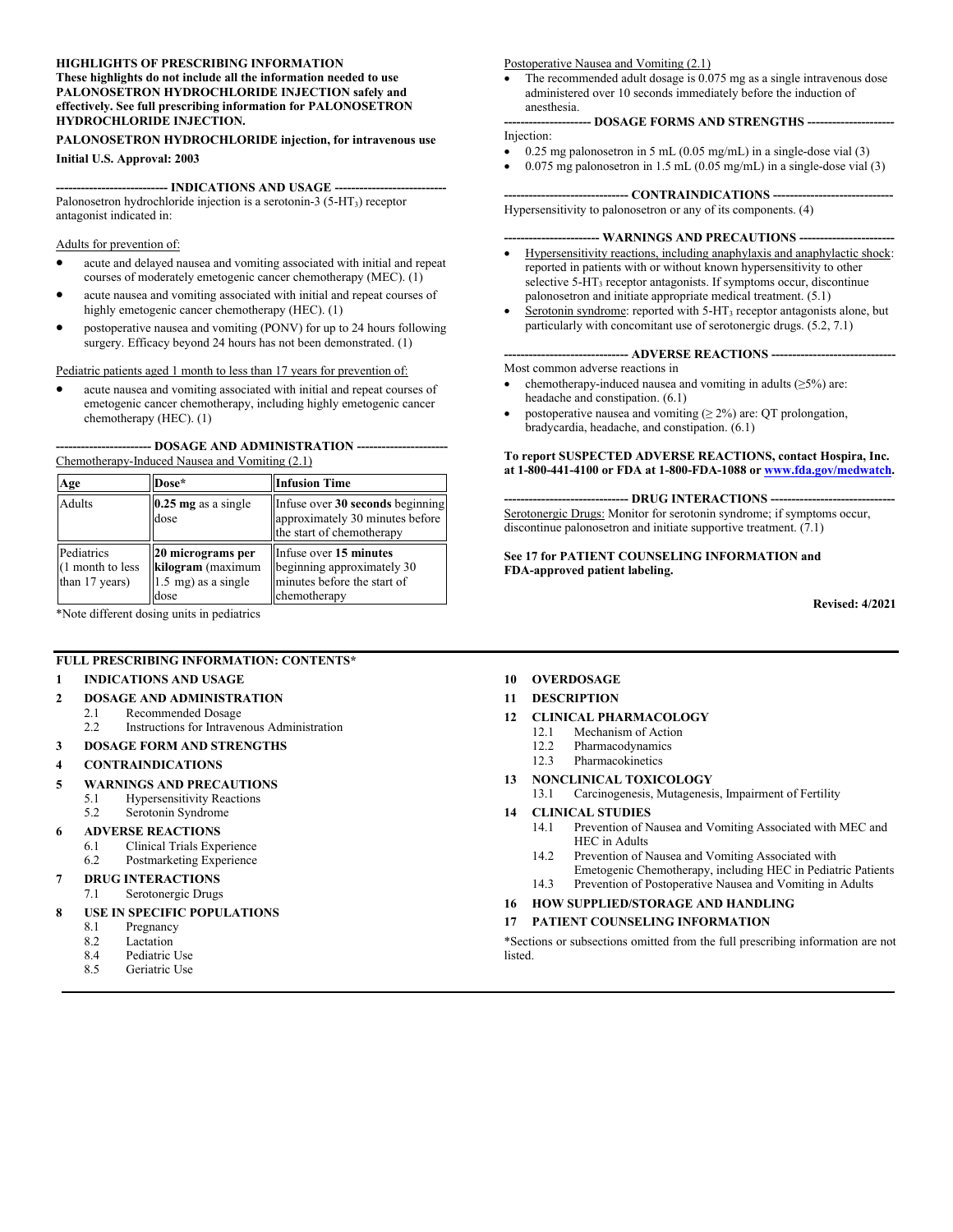#### **HIGHLIGHTS OF PRESCRIBING INFORMATION These highlights do not include all the information needed to use PALONOSETRON HYDROCHLORIDE INJECTION safely and effectively. See full prescribing information for PALONOSETRON HYDROCHLORIDE INJECTION.**

#### **PALONOSETRON HYDROCHLORIDE injection, for intravenous use**

**Initial U.S. Approval: 2003**

**--------------------------- INDICATIONS AND USAGE ---------------------------** Palonosetron hydrochloride injection is a serotonin-3  $(5-HT<sub>3</sub>)$  receptor antagonist indicated in:

Adults for prevention of:

- acute and delayed nausea and vomiting associated with initial and repeat courses of moderately emetogenic cancer chemotherapy (MEC). (1)
- acute nausea and vomiting associated with initial and repeat courses of highly emetogenic cancer chemotherapy (HEC). (1)
- postoperative nausea and vomiting (PONV) for up to 24 hours following surgery. Efficacy beyond 24 hours has not been demonstrated. (1)

Pediatric patients aged 1 month to less than 17 years for prevention of:

 acute nausea and vomiting associated with initial and repeat courses of emetogenic cancer chemotherapy, including highly emetogenic cancer chemotherapy (HEC). (1)

#### **----------------------- DOSAGE AND ADMINISTRATION ----------------------** Chemotherapy-Induced Nausea and Vomiting (2.1)

| Age                                              | Dose*                                                                 | <b>Infusion Time</b>                                                                                |
|--------------------------------------------------|-----------------------------------------------------------------------|-----------------------------------------------------------------------------------------------------|
| Adults                                           | $0.25$ mg as a single<br>dose                                         | Infuse over 30 seconds beginning<br>approximately 30 minutes before<br>the start of chemotherapy    |
| Pediatrics<br>(1 month to less<br>than 17 years) | 20 micrograms per<br>kilogram (maximum<br>1.5 mg) as a single<br>dose | Infuse over 15 minutes<br>beginning approximately 30<br>minutes before the start of<br>chemotherapy |

\*Note different dosing units in pediatrics

#### **FULL PRESCRIBING INFORMATION: CONTENTS\***

#### **1 INDICATIONS AND USAGE**

#### **2 DOSAGE AND ADMINISTRATION**

- 2.1 Recommended Dosage
- 2.2 Instructions for Intravenous Administration
- **3 DOSAGE FORM AND STRENGTHS**

#### **4 CONTRAINDICATIONS**

- **5 WARNINGS AND PRECAUTIONS**
	- 5.1 Hypersensitivity Reactions
	- 5.2 Serotonin Syndrome
- **6 ADVERSE REACTIONS**
	- 6.1 Clinical Trials Experience
	- 6.2 Postmarketing Experience
- **7 DRUG INTERACTIONS**
- 7.1 Serotonergic Drugs
- **8 USE IN SPECIFIC POPULATIONS**
	- 8.1 Pregnancy<br>8.2 Lactation
	- Lactation
	- 8.4 Pediatric Use
	- 8.5 Geriatric Use

#### Postoperative Nausea and Vomiting (2.1)

 The recommended adult dosage is 0.075 mg as a single intravenous dose administered over 10 seconds immediately before the induction of anesthesia.

#### **--------------------- DOSAGE FORMS AND STRENGTHS ---------------------** Injection:

- 0.25 mg palonosetron in 5 mL (0.05 mg/mL) in a single-dose vial (3)
- $\bullet$  0.075 mg palonosetron in 1.5 mL (0.05 mg/mL) in a single-dose vial (3)

#### --- **CONTRAINDICATIONS --**

Hypersensitivity to palonosetron or any of its components. (4)

#### - WARNINGS AND PRECAUTIONS -

- Hypersensitivity reactions, including anaphylaxis and anaphylactic shock: reported in patients with or without known hypersensitivity to other selective 5-HT<sub>3</sub> receptor antagonists. If symptoms occur, discontinue palonosetron and initiate appropriate medical treatment. (5.1)
- Serotonin syndrome: reported with 5-HT<sub>3</sub> receptor antagonists alone, but particularly with concomitant use of serotonergic drugs. (5.2, 7.1)

#### --- **ADVERSE REACTIONS ---**

Most common adverse reactions in

- chemotherapy-induced nausea and vomiting in adults  $(\geq 5\%)$  are: headache and constipation. (6.1)
- postoperative nausea and vomiting  $(≥ 2%)$  are: QT prolongation, bradycardia, headache, and constipation. (6.1)

#### **To report SUSPECTED ADVERSE REACTIONS, contact Hospira, Inc. at 1-800-441-4100 or FDA at 1-800-FDA-1088 or [www.fda.gov/medwatch](https://www.fda.gov/medwatch).**

**------------------------------ DRUG INTERACTIONS ------------------------------** Serotonergic Drugs: Monitor for serotonin syndrome; if symptoms occur, discontinue palonosetron and initiate supportive treatment. (7.1)

**See 17 for PATIENT COUNSELING INFORMATION and FDA-approved patient labeling.**

**Revised: 4/2021**

#### **10 OVERDOSAGE**

#### **11 DESCRIPTION**

#### **12 CLINICAL PHARMACOLOGY**

- 12.1 Mechanism of Action
- 12.2 Pharmacodynamics
- 12.3 Pharmacokinetics
- **13 NONCLINICAL TOXICOLOGY** 13.1 Carcinogenesis, Mutagenesis, Impairment of Fertility

#### **14 CLINICAL STUDIES**

- 14.1 Prevention of Nausea and Vomiting Associated with MEC and HEC in Adults
- 14.2 Prevention of Nausea and Vomiting Associated with Emetogenic Chemotherapy, including HEC in Pediatric Patients
- 14.3 Prevention of Postoperative Nausea and Vomiting in Adults

#### **16 HOW SUPPLIED/STORAGE AND HANDLING**

#### **17 PATIENT COUNSELING INFORMATION**

\*Sections or subsections omitted from the full prescribing information are not listed.

- 
-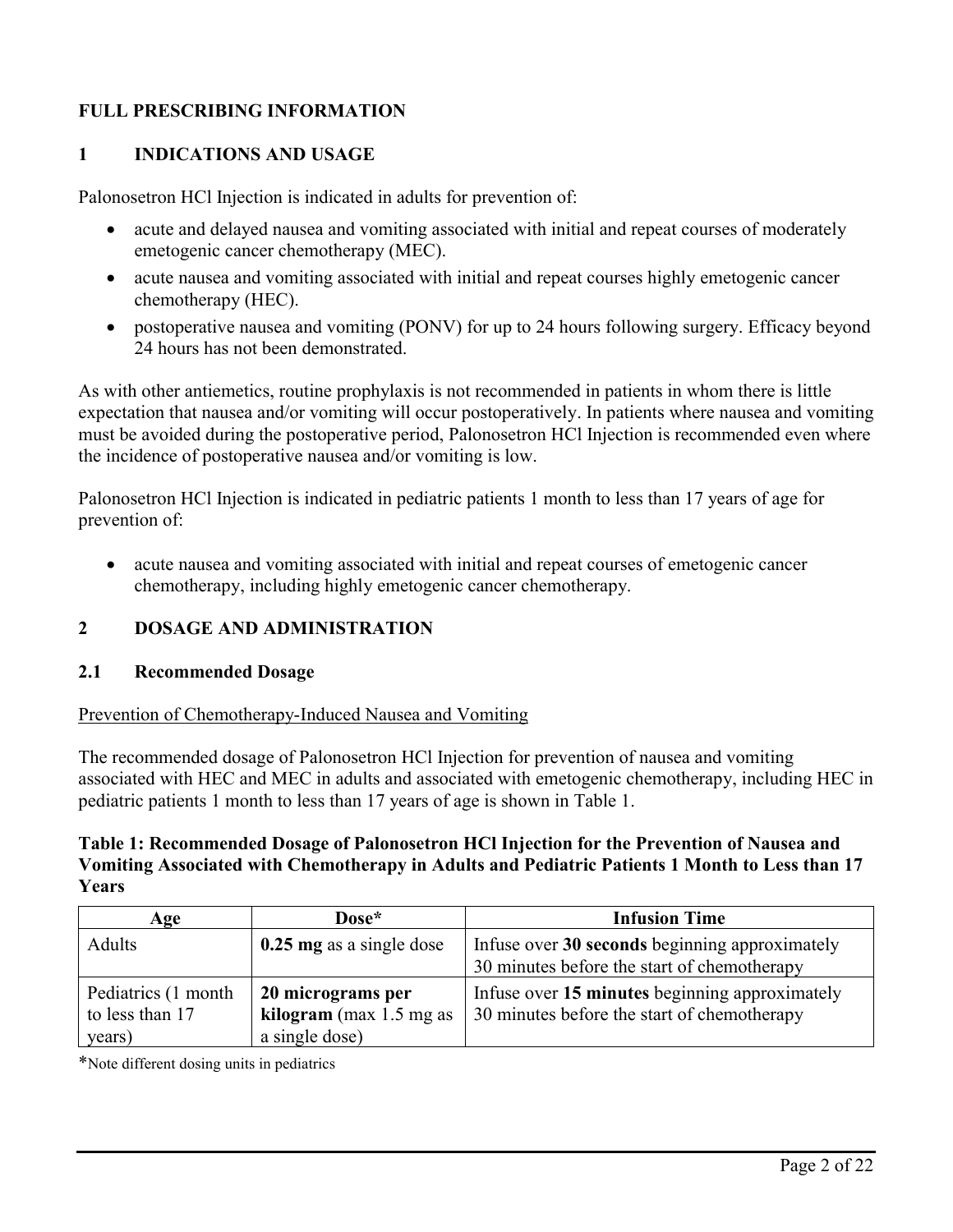# **FULL PRESCRIBING INFORMATION**

# **1 INDICATIONS AND USAGE**

Palonosetron HCl Injection is indicated in adults for prevention of:

- acute and delayed nausea and vomiting associated with initial and repeat courses of moderately emetogenic cancer chemotherapy (MEC).
- acute nausea and vomiting associated with initial and repeat courses highly emetogenic cancer chemotherapy (HEC).
- postoperative nausea and vomiting (PONV) for up to 24 hours following surgery. Efficacy beyond 24 hours has not been demonstrated.

As with other antiemetics, routine prophylaxis is not recommended in patients in whom there is little expectation that nausea and/or vomiting will occur postoperatively. In patients where nausea and vomiting must be avoided during the postoperative period, Palonosetron HCl Injection is recommended even where the incidence of postoperative nausea and/or vomiting is low.

Palonosetron HCl Injection is indicated in pediatric patients 1 month to less than 17 years of age for prevention of:

 acute nausea and vomiting associated with initial and repeat courses of emetogenic cancer chemotherapy, including highly emetogenic cancer chemotherapy.

# **2 DOSAGE AND ADMINISTRATION**

# **2.1 Recommended Dosage**

Prevention of Chemotherapy-Induced Nausea and Vomiting

The recommended dosage of Palonosetron HCl Injection for prevention of nausea and vomiting associated with HEC and MEC in adults and associated with emetogenic chemotherapy, including HEC in pediatric patients 1 month to less than 17 years of age is shown in Table 1.

### **Table 1: Recommended Dosage of Palonosetron HCl Injection for the Prevention of Nausea and Vomiting Associated with Chemotherapy in Adults and Pediatric Patients 1 Month to Less than 17 Years**

| Age                  | Dose*                    | <b>Infusion Time</b>                           |
|----------------------|--------------------------|------------------------------------------------|
| Adults               | 0.25 mg as a single dose | Infuse over 30 seconds beginning approximately |
|                      |                          | 30 minutes before the start of chemotherapy    |
| Pediatrics (1 month) | 20 micrograms per        | Infuse over 15 minutes beginning approximately |
| to less than 17      | kilogram (max 1.5 mg as  | 30 minutes before the start of chemotherapy    |
| years)               | a single dose)           |                                                |

\*Note different dosing units in pediatrics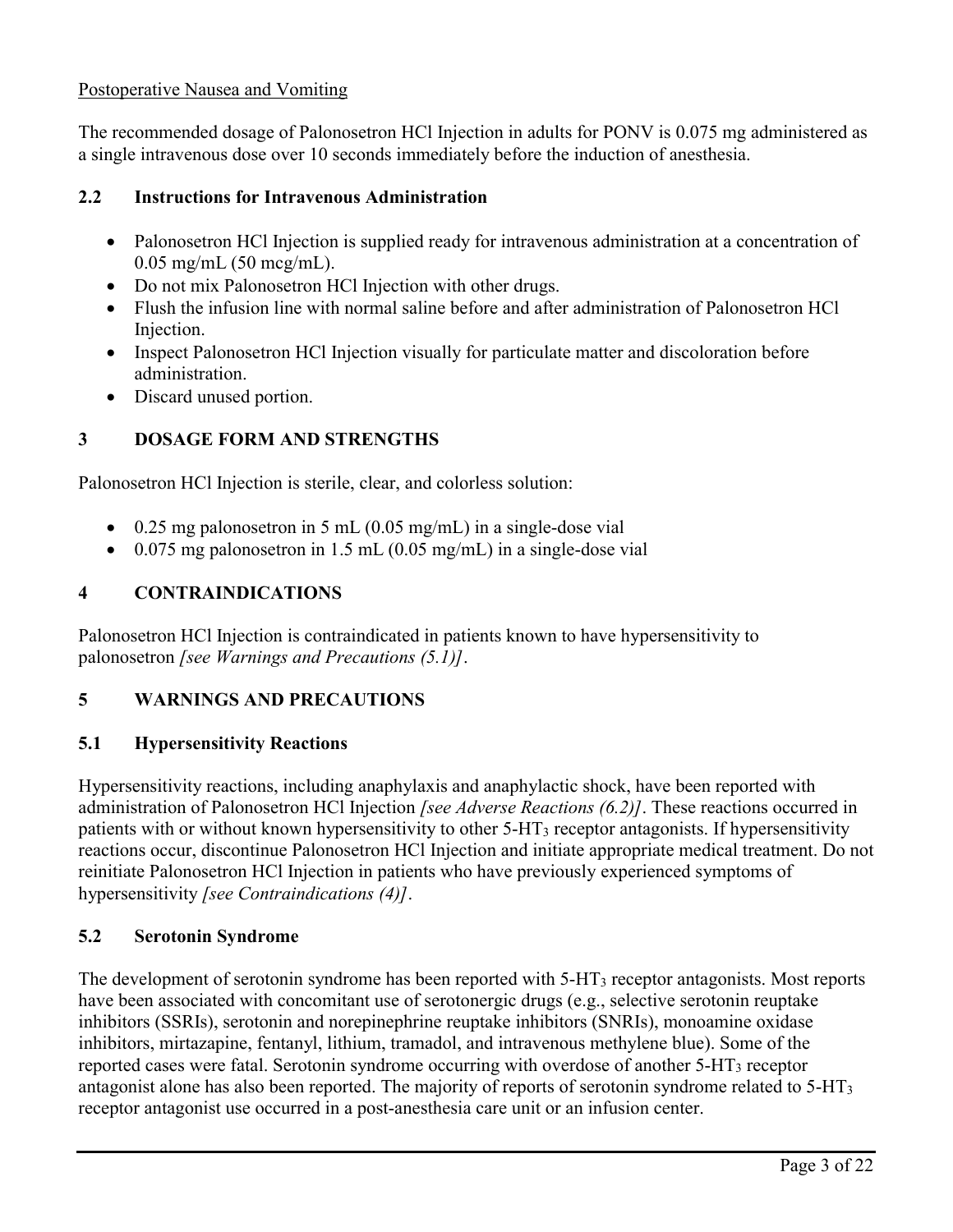# Postoperative Nausea and Vomiting

The recommended dosage of Palonosetron HCl Injection in adults for PONV is 0.075 mg administered as a single intravenous dose over 10 seconds immediately before the induction of anesthesia.

# **2.2 Instructions for Intravenous Administration**

- Palonosetron HCl Injection is supplied ready for intravenous administration at a concentration of 0.05 mg/mL (50 mcg/mL).
- Do not mix Palonosetron HCl Injection with other drugs.
- Flush the infusion line with normal saline before and after administration of Palonosetron HCl Injection.
- Inspect Palonosetron HCl Injection visually for particulate matter and discoloration before administration.
- Discard unused portion.

# **3 DOSAGE FORM AND STRENGTHS**

Palonosetron HCl Injection is sterile, clear, and colorless solution:

- $\bullet$  0.25 mg palonosetron in 5 mL (0.05 mg/mL) in a single-dose vial
- $\bullet$  0.075 mg palonosetron in 1.5 mL (0.05 mg/mL) in a single-dose vial

# **4 CONTRAINDICATIONS**

Palonosetron HCl Injection is contraindicated in patients known to have hypersensitivity to palonosetron *[see Warnings and Precautions (5.1)]*.

# **5 WARNINGS AND PRECAUTIONS**

# **5.1 Hypersensitivity Reactions**

Hypersensitivity reactions, including anaphylaxis and anaphylactic shock, have been reported with administration of Palonosetron HCl Injection *[see Adverse Reactions (6.2)]*. These reactions occurred in patients with or without known hypersensitivity to other  $5-HT_3$  receptor antagonists. If hypersensitivity reactions occur, discontinue Palonosetron HCl Injection and initiate appropriate medical treatment. Do not reinitiate Palonosetron HCl Injection in patients who have previously experienced symptoms of hypersensitivity *[see Contraindications (4)]*.

# **5.2 Serotonin Syndrome**

The development of serotonin syndrome has been reported with 5-HT<sub>3</sub> receptor antagonists. Most reports have been associated with concomitant use of serotonergic drugs (e.g., selective serotonin reuptake inhibitors (SSRIs), serotonin and norepinephrine reuptake inhibitors (SNRIs), monoamine oxidase inhibitors, mirtazapine, fentanyl, lithium, tramadol, and intravenous methylene blue). Some of the reported cases were fatal. Serotonin syndrome occurring with overdose of another 5-HT<sub>3</sub> receptor antagonist alone has also been reported. The majority of reports of serotonin syndrome related to 5-HT<sup>3</sup> receptor antagonist use occurred in a post-anesthesia care unit or an infusion center.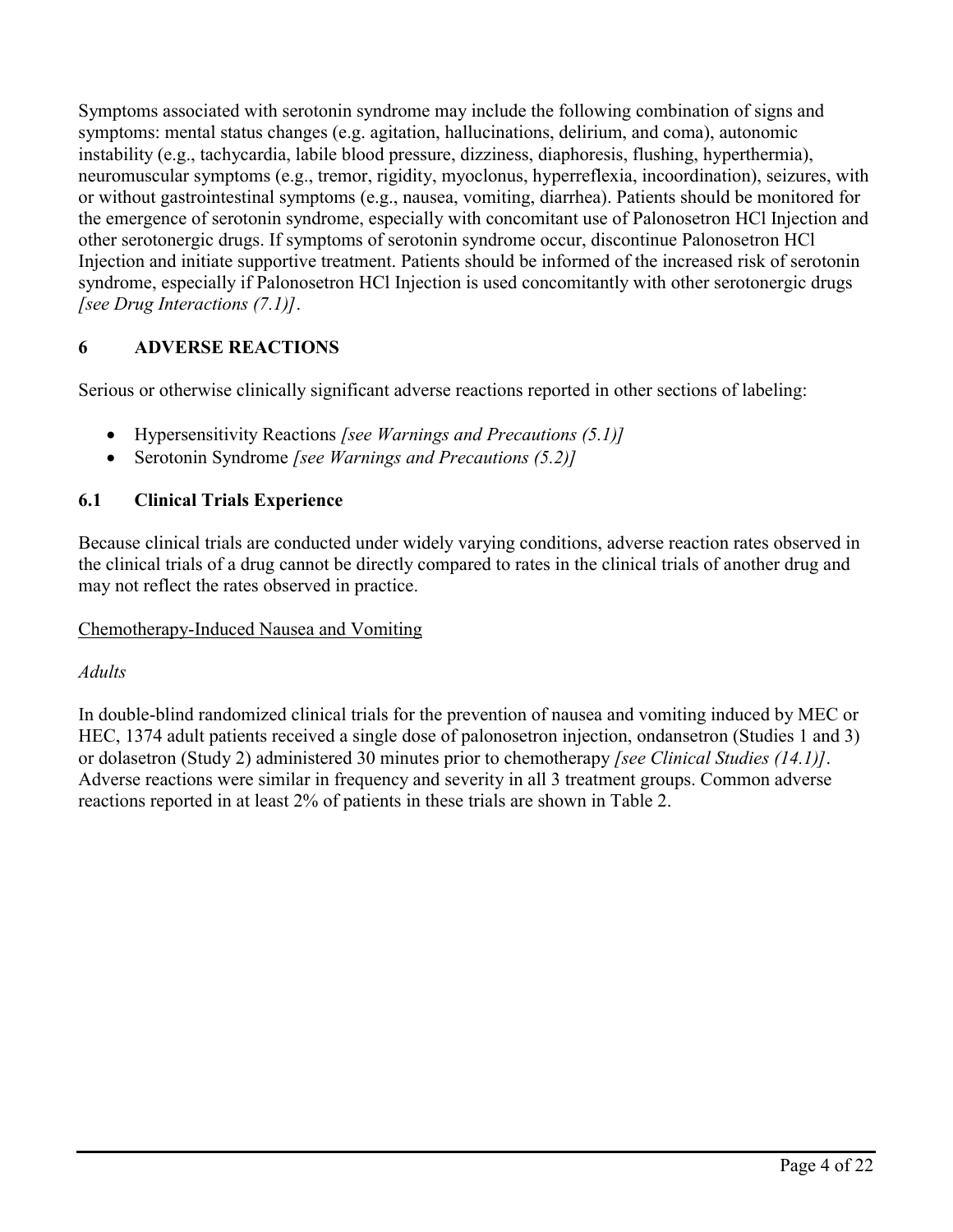Symptoms associated with serotonin syndrome may include the following combination of signs and symptoms: mental status changes (e.g. agitation, hallucinations, delirium, and coma), autonomic instability (e.g., tachycardia, labile blood pressure, dizziness, diaphoresis, flushing, hyperthermia), neuromuscular symptoms (e.g., tremor, rigidity, myoclonus, hyperreflexia, incoordination), seizures, with or without gastrointestinal symptoms (e.g., nausea, vomiting, diarrhea). Patients should be monitored for the emergence of serotonin syndrome, especially with concomitant use of Palonosetron HCl Injection and other serotonergic drugs. If symptoms of serotonin syndrome occur, discontinue Palonosetron HCl Injection and initiate supportive treatment. Patients should be informed of the increased risk of serotonin syndrome, especially if Palonosetron HCl Injection is used concomitantly with other serotonergic drugs *[see Drug Interactions (7.1)]*.

# **6 ADVERSE REACTIONS**

Serious or otherwise clinically significant adverse reactions reported in other sections of labeling:

- Hypersensitivity Reactions *[see Warnings and Precautions (5.1)]*
- Serotonin Syndrome *[see Warnings and Precautions (5.2)]*

# **6.1 Clinical Trials Experience**

Because clinical trials are conducted under widely varying conditions, adverse reaction rates observed in the clinical trials of a drug cannot be directly compared to rates in the clinical trials of another drug and may not reflect the rates observed in practice.

# Chemotherapy-Induced Nausea and Vomiting

# *Adults*

In double-blind randomized clinical trials for the prevention of nausea and vomiting induced by MEC or HEC, 1374 adult patients received a single dose of palonosetron injection, ondansetron (Studies 1 and 3) or dolasetron (Study 2) administered 30 minutes prior to chemotherapy *[see Clinical Studies (14.1)]*. Adverse reactions were similar in frequency and severity in all 3 treatment groups. Common adverse reactions reported in at least 2% of patients in these trials are shown in Table 2.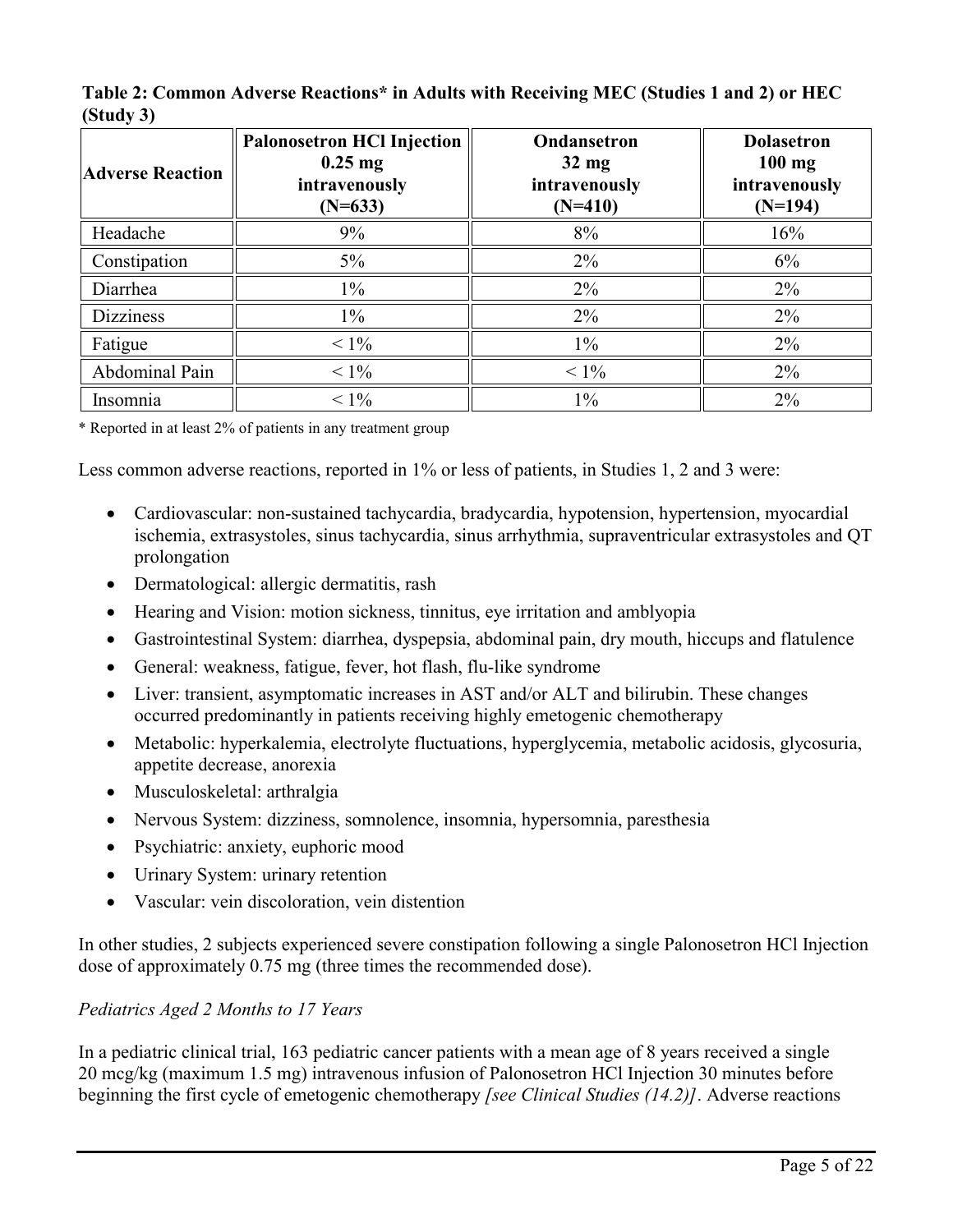| <b>Adverse Reaction</b> | <b>Palonosetron HCl Injection</b><br>$0.25$ mg<br>intravenously<br>$(N=633)$ | Ondansetron<br>$32 \text{ mg}$<br>intravenously<br>$(N=410)$ | <b>Dolasetron</b><br>$100$ mg<br>intravenously<br>$(N=194)$ |
|-------------------------|------------------------------------------------------------------------------|--------------------------------------------------------------|-------------------------------------------------------------|
| Headache                | 9%                                                                           | 8%                                                           | 16%                                                         |
| Constipation            | $5\%$                                                                        | 2%                                                           | 6%                                                          |
| Diarrhea                | $1\%$                                                                        | 2%                                                           | $2\%$                                                       |
| <b>Dizziness</b>        | $1\%$                                                                        | 2%                                                           | $2\%$                                                       |
| Fatigue                 | $< 1\%$                                                                      | $1\%$                                                        | $2\%$                                                       |
| Abdominal Pain          | $< 1\%$                                                                      | $< 1\%$                                                      | $2\%$                                                       |
| Insomnia                | $< 1\%$                                                                      | $1\%$                                                        | 2%                                                          |

**Table 2: Common Adverse Reactions\* in Adults with Receiving MEC (Studies 1 and 2) or HEC (Study 3)** 

\* Reported in at least 2% of patients in any treatment group

Less common adverse reactions, reported in 1% or less of patients, in Studies 1, 2 and 3 were:

- Cardiovascular: non-sustained tachycardia, bradycardia, hypotension, hypertension, myocardial ischemia, extrasystoles, sinus tachycardia, sinus arrhythmia, supraventricular extrasystoles and QT prolongation
- Dermatological: allergic dermatitis, rash
- Hearing and Vision: motion sickness, tinnitus, eye irritation and amblyopia
- Gastrointestinal System: diarrhea, dyspepsia, abdominal pain, dry mouth, hiccups and flatulence
- General: weakness, fatigue, fever, hot flash, flu-like syndrome
- Liver: transient, asymptomatic increases in AST and/or ALT and bilirubin. These changes occurred predominantly in patients receiving highly emetogenic chemotherapy
- Metabolic: hyperkalemia, electrolyte fluctuations, hyperglycemia, metabolic acidosis, glycosuria, appetite decrease, anorexia
- Musculoskeletal: arthralgia
- Nervous System: dizziness, somnolence, insomnia, hypersomnia, paresthesia
- Psychiatric: anxiety, euphoric mood
- Urinary System: urinary retention
- Vascular: vein discoloration, vein distention

In other studies, 2 subjects experienced severe constipation following a single Palonosetron HCl Injection dose of approximately 0.75 mg (three times the recommended dose).

# *Pediatrics Aged 2 Months to 17 Years*

In a pediatric clinical trial, 163 pediatric cancer patients with a mean age of 8 years received a single 20 mcg/kg (maximum 1.5 mg) intravenous infusion of Palonosetron HCl Injection 30 minutes before beginning the first cycle of emetogenic chemotherapy *[see Clinical Studies (14.2)]*. Adverse reactions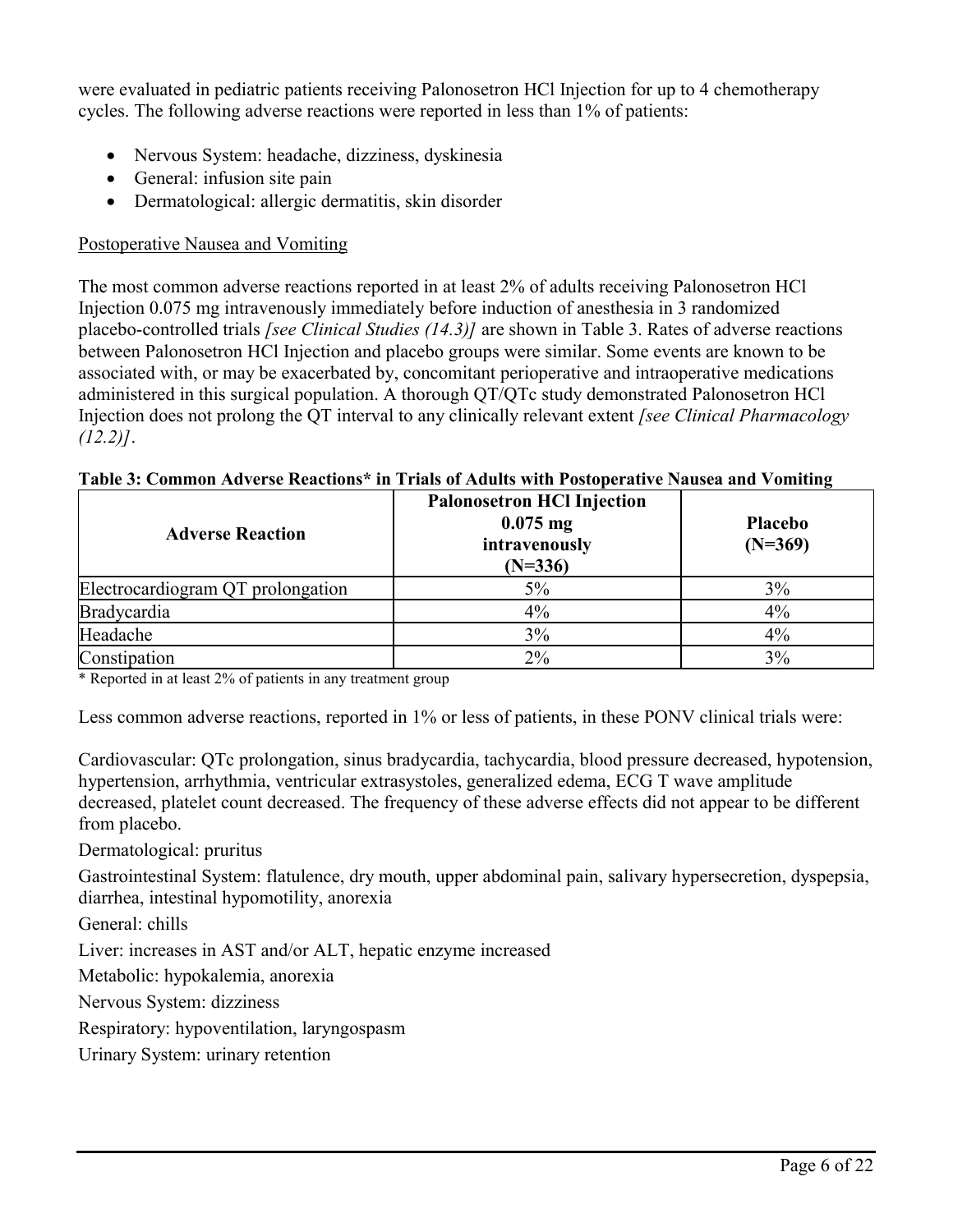were evaluated in pediatric patients receiving Palonosetron HCl Injection for up to 4 chemotherapy cycles. The following adverse reactions were reported in less than 1% of patients:

- Nervous System: headache, dizziness, dyskinesia
- General: infusion site pain
- Dermatological: allergic dermatitis, skin disorder

# Postoperative Nausea and Vomiting

The most common adverse reactions reported in at least 2% of adults receiving Palonosetron HCl Injection 0.075 mg intravenously immediately before induction of anesthesia in 3 randomized placebo-controlled trials *[see Clinical Studies (14.3)]* are shown in Table 3. Rates of adverse reactions between Palonosetron HCl Injection and placebo groups were similar. Some events are known to be associated with, or may be exacerbated by, concomitant perioperative and intraoperative medications administered in this surgical population. A thorough QT/QTc study demonstrated Palonosetron HCl Injection does not prolong the QT interval to any clinically relevant extent *[see Clinical Pharmacology (12.2)]*.

# **Table 3: Common Adverse Reactions\* in Trials of Adults with Postoperative Nausea and Vomiting**

| <b>Adverse Reaction</b>           | <b>Palonosetron HCl Injection</b><br>$0.075$ mg<br>intravenously<br>$(N=336)$ | <b>Placebo</b><br>$(N=369)$ |
|-----------------------------------|-------------------------------------------------------------------------------|-----------------------------|
| Electrocardiogram QT prolongation | 5%                                                                            | $3\%$                       |
| Bradycardia                       | 4%                                                                            | 4%                          |
| Headache                          | 3%                                                                            | 4%                          |
| Constipation                      | $2\%$                                                                         | 3%                          |

\* Reported in at least 2% of patients in any treatment group

Less common adverse reactions, reported in 1% or less of patients, in these PONV clinical trials were:

Cardiovascular: QTc prolongation, sinus bradycardia, tachycardia, blood pressure decreased, hypotension, hypertension, arrhythmia, ventricular extrasystoles, generalized edema, ECG T wave amplitude decreased, platelet count decreased. The frequency of these adverse effects did not appear to be different from placebo.

Dermatological: pruritus

Gastrointestinal System: flatulence, dry mouth, upper abdominal pain, salivary hypersecretion, dyspepsia, diarrhea, intestinal hypomotility, anorexia

General: chills

Liver: increases in AST and/or ALT, hepatic enzyme increased

Metabolic: hypokalemia, anorexia

Nervous System: dizziness

Respiratory: hypoventilation, laryngospasm

Urinary System: urinary retention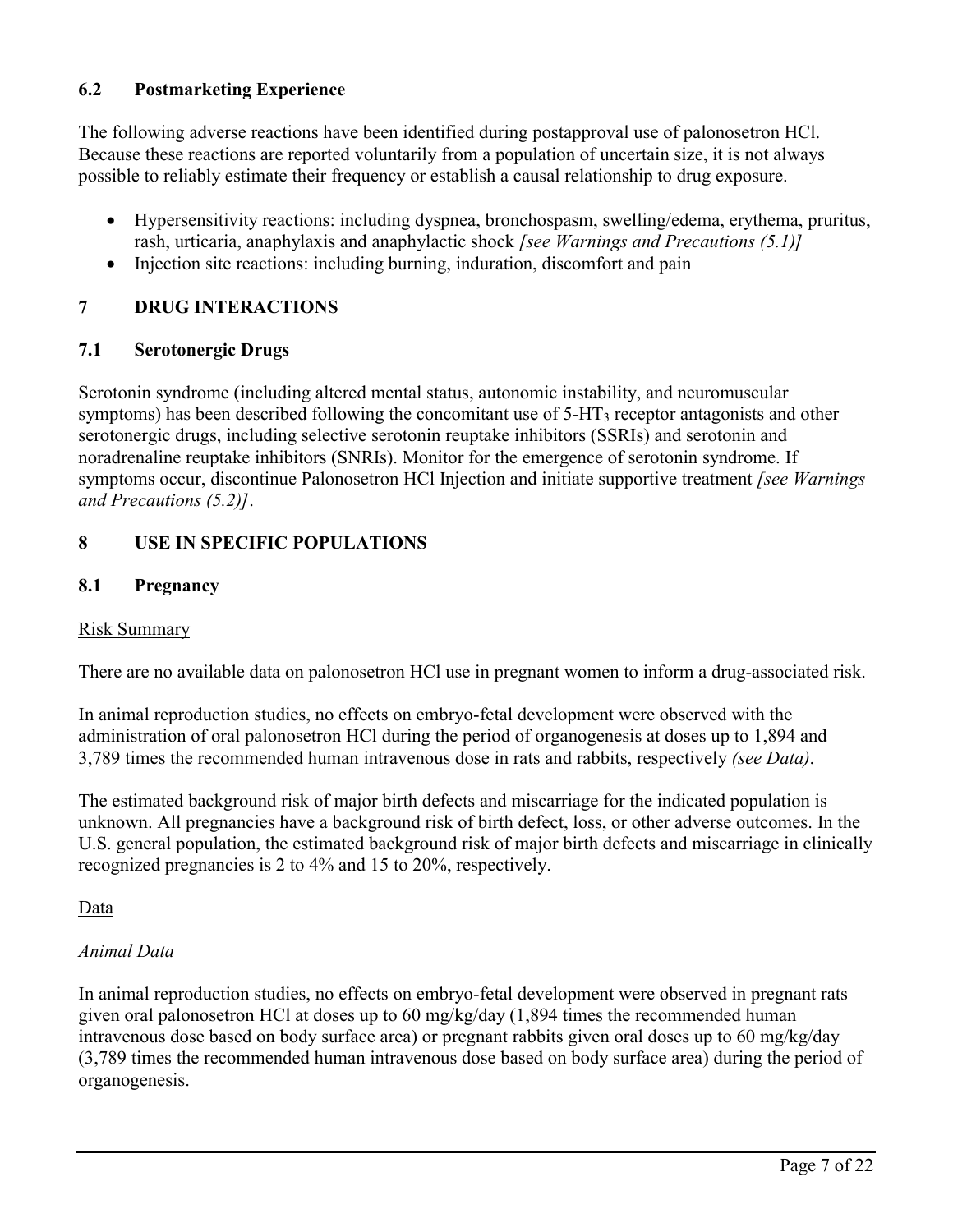# **6.2 Postmarketing Experience**

The following adverse reactions have been identified during postapproval use of palonosetron HCl. Because these reactions are reported voluntarily from a population of uncertain size, it is not always possible to reliably estimate their frequency or establish a causal relationship to drug exposure.

- Hypersensitivity reactions: including dyspnea, bronchospasm, swelling/edema, erythema, pruritus, rash, urticaria, anaphylaxis and anaphylactic shock *[see Warnings and Precautions (5.1)]*
- Injection site reactions: including burning, induration, discomfort and pain

# **7 DRUG INTERACTIONS**

### **7.1 Serotonergic Drugs**

Serotonin syndrome (including altered mental status, autonomic instability, and neuromuscular symptoms) has been described following the concomitant use of 5-HT<sup>3</sup> receptor antagonists and other serotonergic drugs, including selective serotonin reuptake inhibitors (SSRIs) and serotonin and noradrenaline reuptake inhibitors (SNRIs). Monitor for the emergence of serotonin syndrome. If symptoms occur, discontinue Palonosetron HCl Injection and initiate supportive treatment *[see Warnings and Precautions (5.2)]*.

# **8 USE IN SPECIFIC POPULATIONS**

### **8.1 Pregnancy**

# Risk Summary

There are no available data on palonosetron HCl use in pregnant women to inform a drug-associated risk.

In animal reproduction studies, no effects on embryo-fetal development were observed with the administration of oral palonosetron HCl during the period of organogenesis at doses up to 1,894 and 3,789 times the recommended human intravenous dose in rats and rabbits, respectively *(see Data)*.

The estimated background risk of major birth defects and miscarriage for the indicated population is unknown. All pregnancies have a background risk of birth defect, loss, or other adverse outcomes. In the U.S. general population, the estimated background risk of major birth defects and miscarriage in clinically recognized pregnancies is 2 to 4% and 15 to 20%, respectively.

Data

# *Animal Data*

In animal reproduction studies, no effects on embryo-fetal development were observed in pregnant rats given oral palonosetron HCl at doses up to 60 mg/kg/day (1,894 times the recommended human intravenous dose based on body surface area) or pregnant rabbits given oral doses up to 60 mg/kg/day (3,789 times the recommended human intravenous dose based on body surface area) during the period of organogenesis.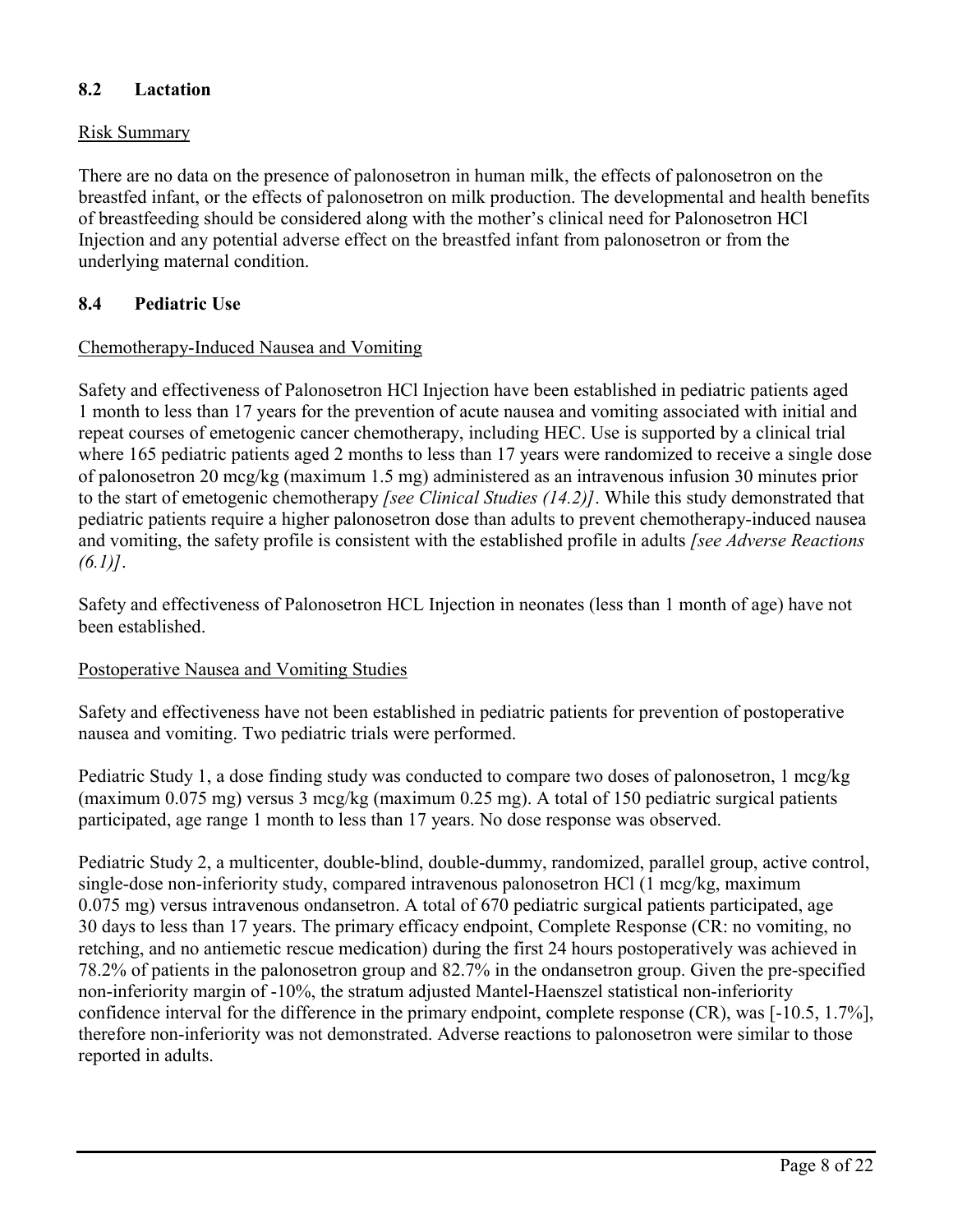# **8.2 Lactation**

### Risk Summary

There are no data on the presence of palonosetron in human milk, the effects of palonosetron on the breastfed infant, or the effects of palonosetron on milk production. The developmental and health benefits of breastfeeding should be considered along with the mother's clinical need for Palonosetron HCl Injection and any potential adverse effect on the breastfed infant from palonosetron or from the underlying maternal condition.

### **8.4 Pediatric Use**

### Chemotherapy-Induced Nausea and Vomiting

Safety and effectiveness of Palonosetron HCl Injection have been established in pediatric patients aged 1 month to less than 17 years for the prevention of acute nausea and vomiting associated with initial and repeat courses of emetogenic cancer chemotherapy, including HEC. Use is supported by a clinical trial where 165 pediatric patients aged 2 months to less than 17 years were randomized to receive a single dose of palonosetron 20 mcg/kg (maximum 1.5 mg) administered as an intravenous infusion 30 minutes prior to the start of emetogenic chemotherapy *[see Clinical Studies (14.2)]*. While this study demonstrated that pediatric patients require a higher palonosetron dose than adults to prevent chemotherapy-induced nausea and vomiting, the safety profile is consistent with the established profile in adults *[see Adverse Reactions (6.1)]*.

Safety and effectiveness of Palonosetron HCL Injection in neonates (less than 1 month of age) have not been established.

### Postoperative Nausea and Vomiting Studies

Safety and effectiveness have not been established in pediatric patients for prevention of postoperative nausea and vomiting. Two pediatric trials were performed.

Pediatric Study 1, a dose finding study was conducted to compare two doses of palonosetron, 1 mcg/kg (maximum 0.075 mg) versus 3 mcg/kg (maximum 0.25 mg). A total of 150 pediatric surgical patients participated, age range 1 month to less than 17 years. No dose response was observed.

Pediatric Study 2, a multicenter, double-blind, double-dummy, randomized, parallel group, active control, single-dose non-inferiority study, compared intravenous palonosetron HCl (1 mcg/kg, maximum 0.075 mg) versus intravenous ondansetron. A total of 670 pediatric surgical patients participated, age 30 days to less than 17 years. The primary efficacy endpoint, Complete Response (CR: no vomiting, no retching, and no antiemetic rescue medication) during the first 24 hours postoperatively was achieved in 78.2% of patients in the palonosetron group and 82.7% in the ondansetron group. Given the pre-specified non-inferiority margin of -10%, the stratum adjusted Mantel-Haenszel statistical non-inferiority confidence interval for the difference in the primary endpoint, complete response (CR), was [-10.5, 1.7%], therefore non-inferiority was not demonstrated. Adverse reactions to palonosetron were similar to those reported in adults.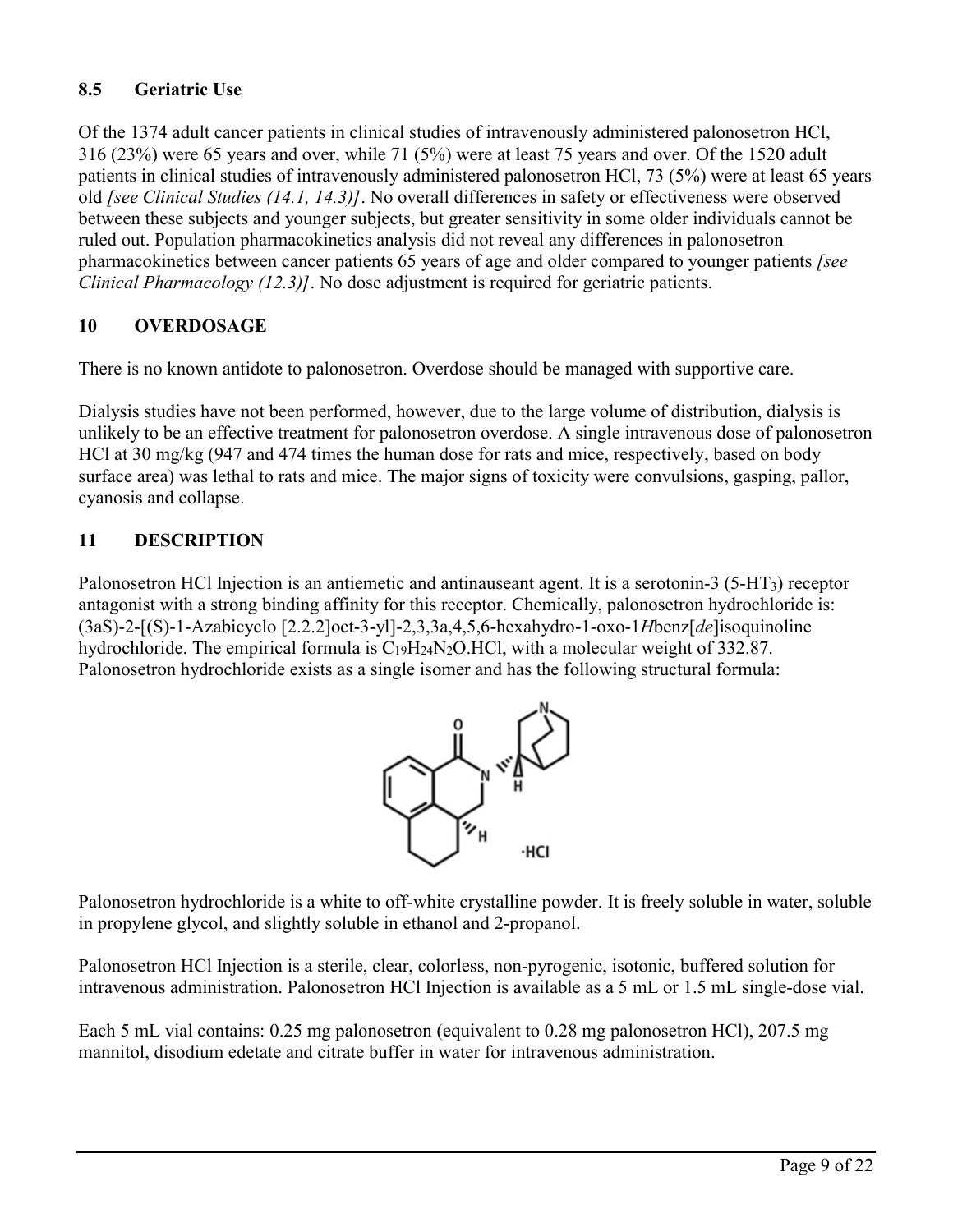# **8.5 Geriatric Use**

Of the 1374 adult cancer patients in clinical studies of intravenously administered palonosetron HCl, 316 (23%) were 65 years and over, while 71 (5%) were at least 75 years and over. Of the 1520 adult patients in clinical studies of intravenously administered palonosetron HCl, 73 (5%) were at least 65 years old *[see Clinical Studies (14.1, 14.3)]*. No overall differences in safety or effectiveness were observed between these subjects and younger subjects, but greater sensitivity in some older individuals cannot be ruled out. Population pharmacokinetics analysis did not reveal any differences in palonosetron pharmacokinetics between cancer patients 65 years of age and older compared to younger patients *[see Clinical Pharmacology (12.3)]*. No dose adjustment is required for geriatric patients.

# **10 OVERDOSAGE**

There is no known antidote to palonosetron. Overdose should be managed with supportive care.

Dialysis studies have not been performed, however, due to the large volume of distribution, dialysis is unlikely to be an effective treatment for palonosetron overdose. A single intravenous dose of palonosetron HCl at 30 mg/kg (947 and 474 times the human dose for rats and mice, respectively, based on body surface area) was lethal to rats and mice. The major signs of toxicity were convulsions, gasping, pallor, cyanosis and collapse.

# **11 DESCRIPTION**

Palonosetron HCl Injection is an antiemetic and antinauseant agent. It is a serotonin-3 (5-HT3) receptor antagonist with a strong binding affinity for this receptor. Chemically, palonosetron hydrochloride is: (3aS)-2-[(S)-1-Azabicyclo [2.2.2]oct-3-yl]-2,3,3a,4,5,6-hexahydro-1-oxo-1*H*benz[*de*]isoquinoline hydrochloride. The empirical formula is  $C_{19}H_{24}N_2O$ .HCl, with a molecular weight of 332.87. Palonosetron hydrochloride exists as a single isomer and has the following structural formula:



Palonosetron hydrochloride is a white to off-white crystalline powder. It is freely soluble in water, soluble in propylene glycol, and slightly soluble in ethanol and 2-propanol.

Palonosetron HCl Injection is a sterile, clear, colorless, non-pyrogenic, isotonic, buffered solution for intravenous administration. Palonosetron HCl Injection is available as a 5 mL or 1.5 mL single-dose vial.

Each 5 mL vial contains: 0.25 mg palonosetron (equivalent to 0.28 mg palonosetron HCl), 207.5 mg mannitol, disodium edetate and citrate buffer in water for intravenous administration.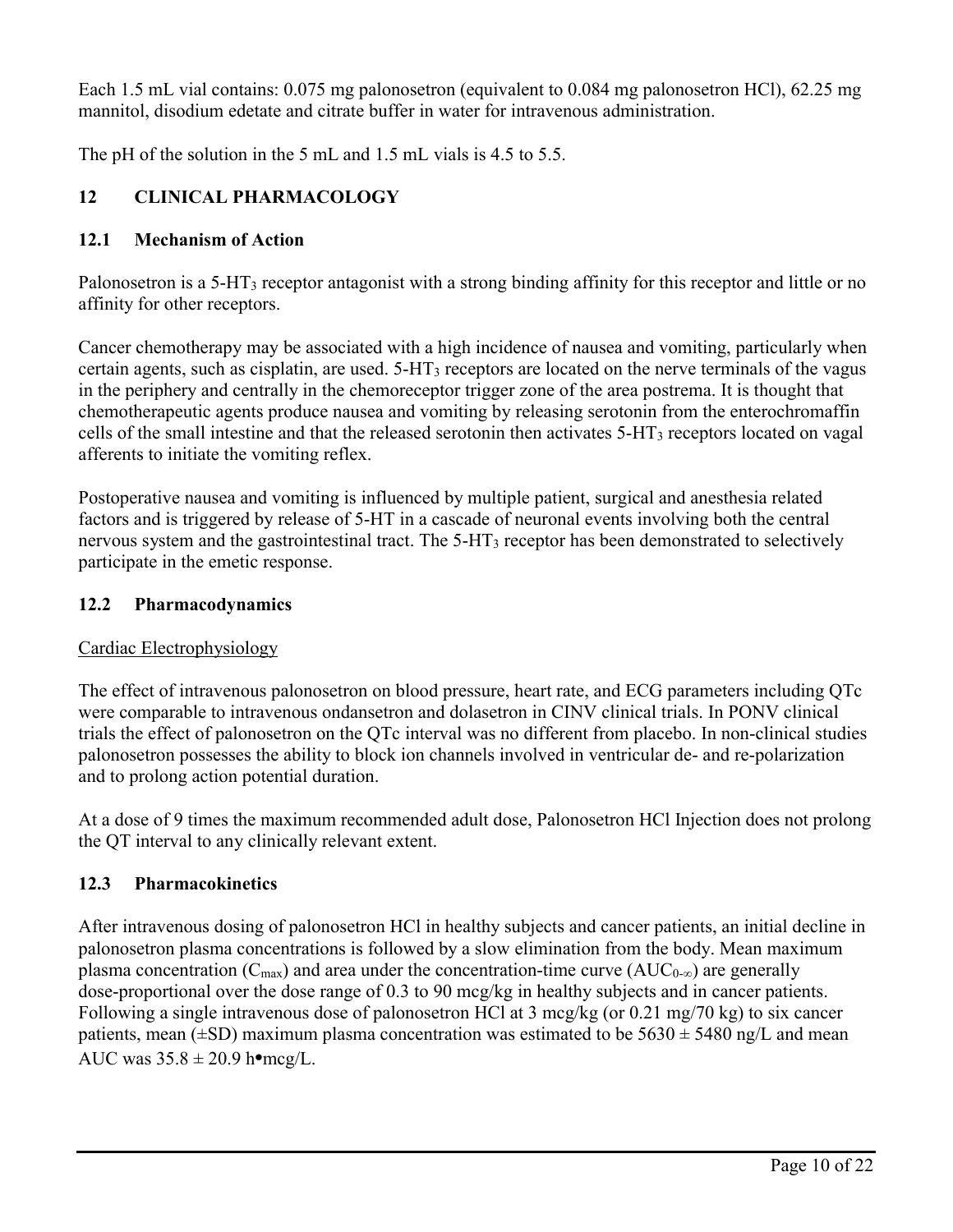Each 1.5 mL vial contains: 0.075 mg palonosetron (equivalent to 0.084 mg palonosetron HCl), 62.25 mg mannitol, disodium edetate and citrate buffer in water for intravenous administration.

The pH of the solution in the 5 mL and 1.5 mL vials is 4.5 to 5.5.

# **12 CLINICAL PHARMACOLOGY**

# **12.1 Mechanism of Action**

Palonosetron is a 5-HT<sup>3</sup> receptor antagonist with a strong binding affinity for this receptor and little or no affinity for other receptors.

Cancer chemotherapy may be associated with a high incidence of nausea and vomiting, particularly when certain agents, such as cisplatin, are used. 5-HT<sup>3</sup> receptors are located on the nerve terminals of the vagus in the periphery and centrally in the chemoreceptor trigger zone of the area postrema. It is thought that chemotherapeutic agents produce nausea and vomiting by releasing serotonin from the enterochromaffin cells of the small intestine and that the released serotonin then activates 5-HT<sup>3</sup> receptors located on vagal afferents to initiate the vomiting reflex.

Postoperative nausea and vomiting is influenced by multiple patient, surgical and anesthesia related factors and is triggered by release of 5-HT in a cascade of neuronal events involving both the central nervous system and the gastrointestinal tract. The 5-HT<sub>3</sub> receptor has been demonstrated to selectively participate in the emetic response.

# **12.2 Pharmacodynamics**

# Cardiac Electrophysiology

The effect of intravenous palonosetron on blood pressure, heart rate, and ECG parameters including QTc were comparable to intravenous ondansetron and dolasetron in CINV clinical trials. In PONV clinical trials the effect of palonosetron on the QTc interval was no different from placebo. In non-clinical studies palonosetron possesses the ability to block ion channels involved in ventricular de- and re-polarization and to prolong action potential duration.

At a dose of 9 times the maximum recommended adult dose, Palonosetron HCl Injection does not prolong the QT interval to any clinically relevant extent.

# **12.3 Pharmacokinetics**

After intravenous dosing of palonosetron HCl in healthy subjects and cancer patients, an initial decline in palonosetron plasma concentrations is followed by a slow elimination from the body. Mean maximum plasma concentration ( $C_{\text{max}}$ ) and area under the concentration-time curve ( $AUC_{0-\infty}$ ) are generally dose-proportional over the dose range of 0.3 to 90 mcg/kg in healthy subjects and in cancer patients. Following a single intravenous dose of palonosetron HCl at 3 mcg/kg (or 0.21 mg/70 kg) to six cancer patients, mean  $(\pm SD)$  maximum plasma concentration was estimated to be  $5630 \pm 5480$  ng/L and mean AUC was 35.8 ± 20.9 h**•**mcg/L.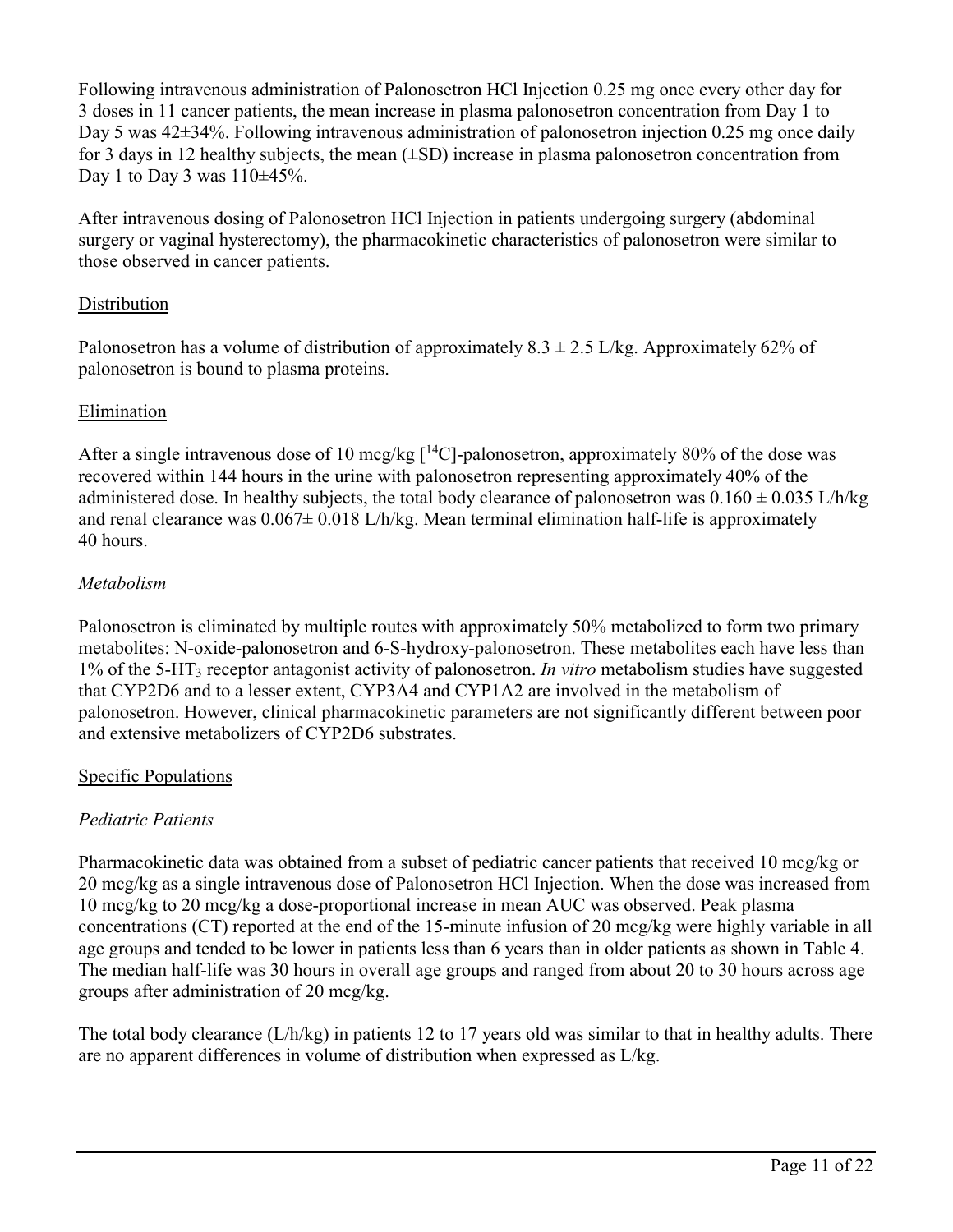Following intravenous administration of Palonosetron HCl Injection 0.25 mg once every other day for 3 doses in 11 cancer patients, the mean increase in plasma palonosetron concentration from Day 1 to Day 5 was 42±34%. Following intravenous administration of palonosetron injection 0.25 mg once daily for 3 days in 12 healthy subjects, the mean (±SD) increase in plasma palonosetron concentration from Day 1 to Day 3 was  $110±45%$ .

After intravenous dosing of Palonosetron HCl Injection in patients undergoing surgery (abdominal surgery or vaginal hysterectomy), the pharmacokinetic characteristics of palonosetron were similar to those observed in cancer patients.

# **Distribution**

Palonosetron has a volume of distribution of approximately  $8.3 \pm 2.5$  L/kg. Approximately 62% of palonosetron is bound to plasma proteins.

# Elimination

After a single intravenous dose of 10 mcg/kg  $\lceil {^{14}C} \rceil$ -palonosetron, approximately 80% of the dose was recovered within 144 hours in the urine with palonosetron representing approximately 40% of the administered dose. In healthy subjects, the total body clearance of palonosetron was  $0.160 \pm 0.035$  L/h/kg and renal clearance was  $0.067 \pm 0.018$  L/h/kg. Mean terminal elimination half-life is approximately 40 hours.

# *Metabolism*

Palonosetron is eliminated by multiple routes with approximately 50% metabolized to form two primary metabolites: N-oxide-palonosetron and 6-S-hydroxy-palonosetron. These metabolites each have less than 1% of the 5-HT<sup>3</sup> receptor antagonist activity of palonosetron. *In vitro* metabolism studies have suggested that CYP2D6 and to a lesser extent, CYP3A4 and CYP1A2 are involved in the metabolism of palonosetron. However, clinical pharmacokinetic parameters are not significantly different between poor and extensive metabolizers of CYP2D6 substrates.

# Specific Populations

# *Pediatric Patients*

Pharmacokinetic data was obtained from a subset of pediatric cancer patients that received 10 mcg/kg or 20 mcg/kg as a single intravenous dose of Palonosetron HCl Injection. When the dose was increased from 10 mcg/kg to 20 mcg/kg a dose-proportional increase in mean AUC was observed. Peak plasma concentrations (CT) reported at the end of the 15-minute infusion of 20 mcg/kg were highly variable in all age groups and tended to be lower in patients less than 6 years than in older patients as shown in Table 4. The median half-life was 30 hours in overall age groups and ranged from about 20 to 30 hours across age groups after administration of 20 mcg/kg.

The total body clearance (L/h/kg) in patients 12 to 17 years old was similar to that in healthy adults. There are no apparent differences in volume of distribution when expressed as L/kg.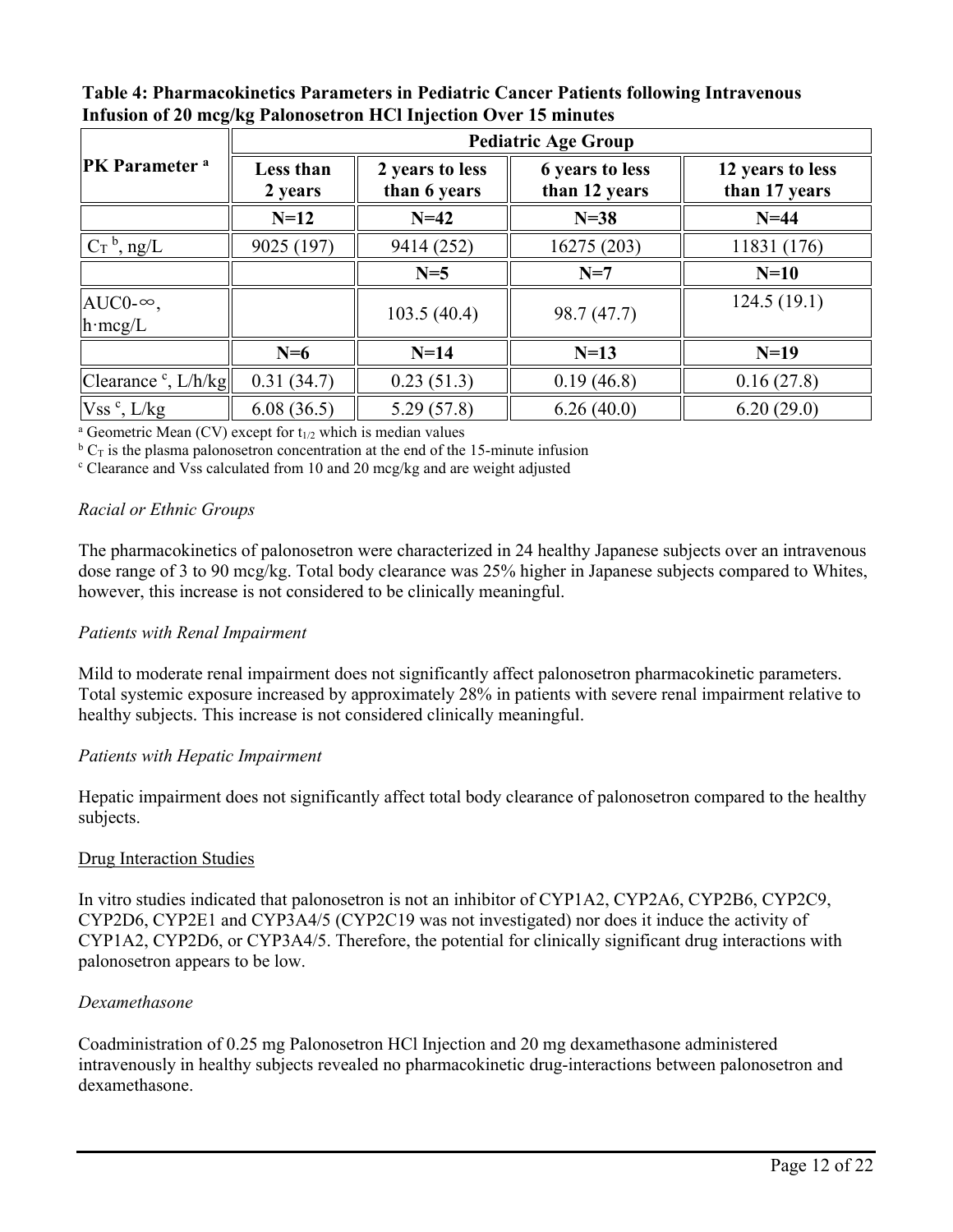**Table 4: Pharmacokinetics Parameters in Pediatric Cancer Patients following Intravenous Infusion of 20 mcg/kg Palonosetron HCl Injection Over 15 minutes**

|                                            | <b>Pediatric Age Group</b> |                                 |                                         |                                   |  |  |  |  |
|--------------------------------------------|----------------------------|---------------------------------|-----------------------------------------|-----------------------------------|--|--|--|--|
| <b>PK</b> Parameter <sup>a</sup>           | Less than<br>2 years       | 2 years to less<br>than 6 years | <b>6</b> years to less<br>than 12 years | 12 years to less<br>than 17 years |  |  |  |  |
|                                            | $N=12$                     | $N=42$                          | $N=38$                                  | $N=44$                            |  |  |  |  |
| $C_T$ <sup>b</sup> , ng/L                  | 9025 (197)                 | 9414 (252)                      | 16275 (203)                             | 11831 (176)                       |  |  |  |  |
|                                            |                            | $N=5$                           | $N=7$                                   | $N=10$                            |  |  |  |  |
| AUC0- $\infty$ ,<br>$h \cdot \text{mcg/L}$ |                            | 103.5(40.4)                     | 98.7 (47.7)                             | 124.5(19.1)                       |  |  |  |  |
|                                            | $N=6$                      | $N=14$                          | $N=13$                                  | $N=19$                            |  |  |  |  |
| Clearance $\cdot$ , L/h/kg                 | 0.31(34.7)                 | 0.23(51.3)                      | 0.19(46.8)                              | 0.16(27.8)                        |  |  |  |  |
| $Vss^c$ , $L/kg$                           | 6.08(36.5)                 | 5.29(57.8)                      | 6.26(40.0)                              | 6.20(29.0)                        |  |  |  |  |

<sup>a</sup> Geometric Mean (CV) except for  $t_{1/2}$  which is median values

 $b_{\rm C}$  is the plasma palonosetron concentration at the end of the 15-minute infusion

<sup>c</sup> Clearance and Vss calculated from 10 and 20 mcg/kg and are weight adjusted

### *Racial or Ethnic Groups*

The pharmacokinetics of palonosetron were characterized in 24 healthy Japanese subjects over an intravenous dose range of 3 to 90 mcg/kg. Total body clearance was 25% higher in Japanese subjects compared to Whites, however, this increase is not considered to be clinically meaningful.

### *Patients with Renal Impairment*

Mild to moderate renal impairment does not significantly affect palonosetron pharmacokinetic parameters. Total systemic exposure increased by approximately 28% in patients with severe renal impairment relative to healthy subjects. This increase is not considered clinically meaningful.

### *Patients with Hepatic Impairment*

Hepatic impairment does not significantly affect total body clearance of palonosetron compared to the healthy subjects.

### Drug Interaction Studies

In vitro studies indicated that palonosetron is not an inhibitor of CYP1A2, CYP2A6, CYP2B6, CYP2C9, CYP2D6, CYP2E1 and CYP3A4/5 (CYP2C19 was not investigated) nor does it induce the activity of CYP1A2, CYP2D6, or CYP3A4/5. Therefore, the potential for clinically significant drug interactions with palonosetron appears to be low.

### *Dexamethasone*

Coadministration of 0.25 mg Palonosetron HCl Injection and 20 mg dexamethasone administered intravenously in healthy subjects revealed no pharmacokinetic drug-interactions between palonosetron and dexamethasone.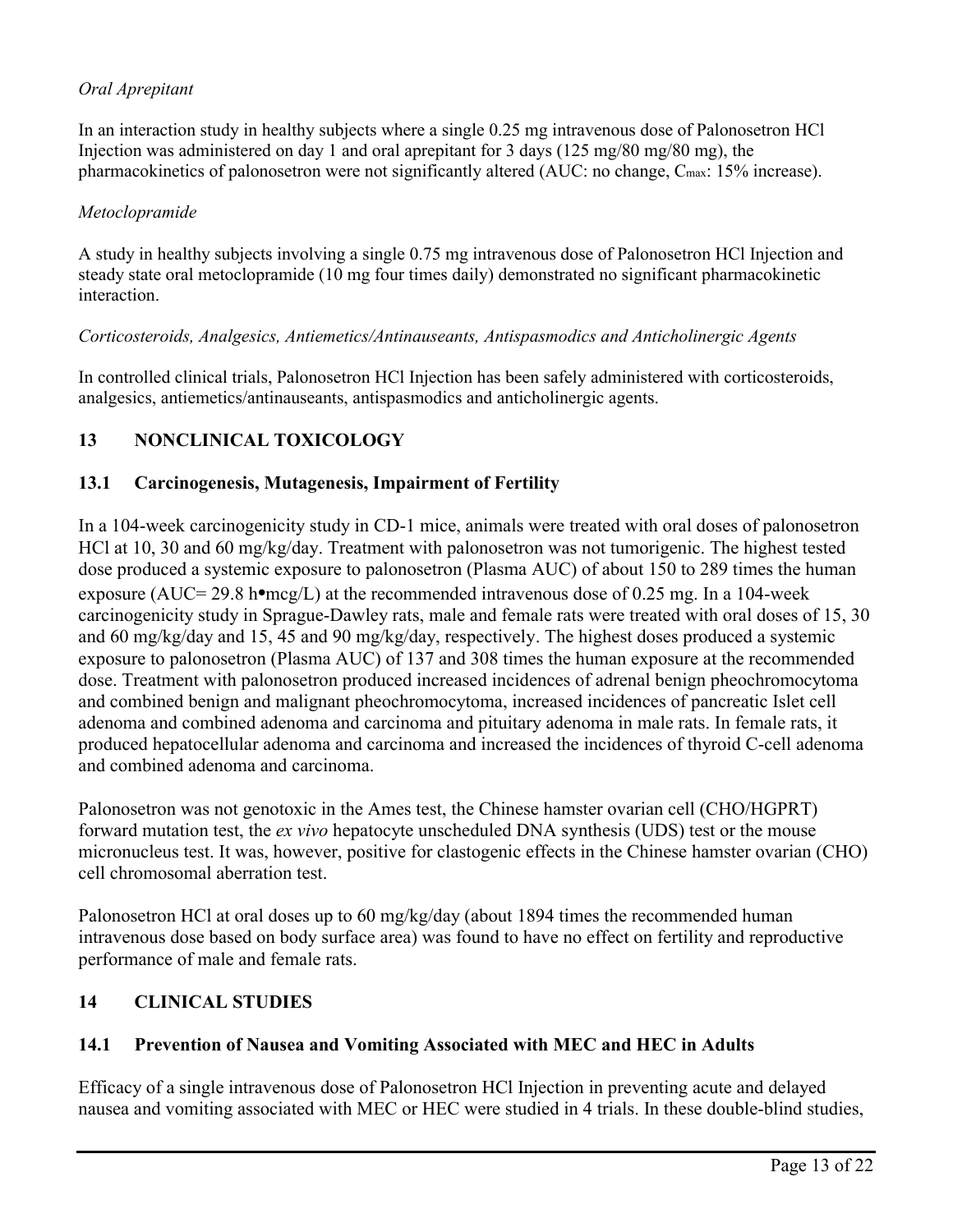# *Oral Aprepitant*

In an interaction study in healthy subjects where a single 0.25 mg intravenous dose of Palonosetron HCl Injection was administered on day 1 and oral aprepitant for 3 days ( $125 \text{ mg}/80 \text{ mg}$ ), the pharmacokinetics of palonosetron were not significantly altered (AUC: no change, C<sub>max</sub>: 15% increase).

### *Metoclopramide*

A study in healthy subjects involving a single 0.75 mg intravenous dose of Palonosetron HCl Injection and steady state oral metoclopramide (10 mg four times daily) demonstrated no significant pharmacokinetic interaction.

### *Corticosteroids, Analgesics, Antiemetics/Antinauseants, Antispasmodics and Anticholinergic Agents*

In controlled clinical trials, Palonosetron HCl Injection has been safely administered with corticosteroids, analgesics, antiemetics/antinauseants, antispasmodics and anticholinergic agents.

# **13 NONCLINICAL TOXICOLOGY**

### **13.1 Carcinogenesis, Mutagenesis, Impairment of Fertility**

In a 104-week carcinogenicity study in CD-1 mice, animals were treated with oral doses of palonosetron HCl at 10, 30 and 60 mg/kg/day. Treatment with palonosetron was not tumorigenic. The highest tested dose produced a systemic exposure to palonosetron (Plasma AUC) of about 150 to 289 times the human exposure (AUC= 29.8 h**•**mcg/L) at the recommended intravenous dose of 0.25 mg. In a 104-week carcinogenicity study in Sprague-Dawley rats, male and female rats were treated with oral doses of 15, 30 and 60 mg/kg/day and 15, 45 and 90 mg/kg/day, respectively. The highest doses produced a systemic exposure to palonosetron (Plasma AUC) of 137 and 308 times the human exposure at the recommended dose. Treatment with palonosetron produced increased incidences of adrenal benign pheochromocytoma and combined benign and malignant pheochromocytoma, increased incidences of pancreatic Islet cell adenoma and combined adenoma and carcinoma and pituitary adenoma in male rats. In female rats, it produced hepatocellular adenoma and carcinoma and increased the incidences of thyroid C-cell adenoma and combined adenoma and carcinoma.

Palonosetron was not genotoxic in the Ames test, the Chinese hamster ovarian cell (CHO/HGPRT) forward mutation test, the *ex vivo* hepatocyte unscheduled DNA synthesis (UDS) test or the mouse micronucleus test. It was, however, positive for clastogenic effects in the Chinese hamster ovarian (CHO) cell chromosomal aberration test.

Palonosetron HCl at oral doses up to 60 mg/kg/day (about 1894 times the recommended human intravenous dose based on body surface area) was found to have no effect on fertility and reproductive performance of male and female rats.

# **14 CLINICAL STUDIES**

# **14.1 Prevention of Nausea and Vomiting Associated with MEC and HEC in Adults**

Efficacy of a single intravenous dose of Palonosetron HCl Injection in preventing acute and delayed nausea and vomiting associated with MEC or HEC were studied in 4 trials. In these double-blind studies,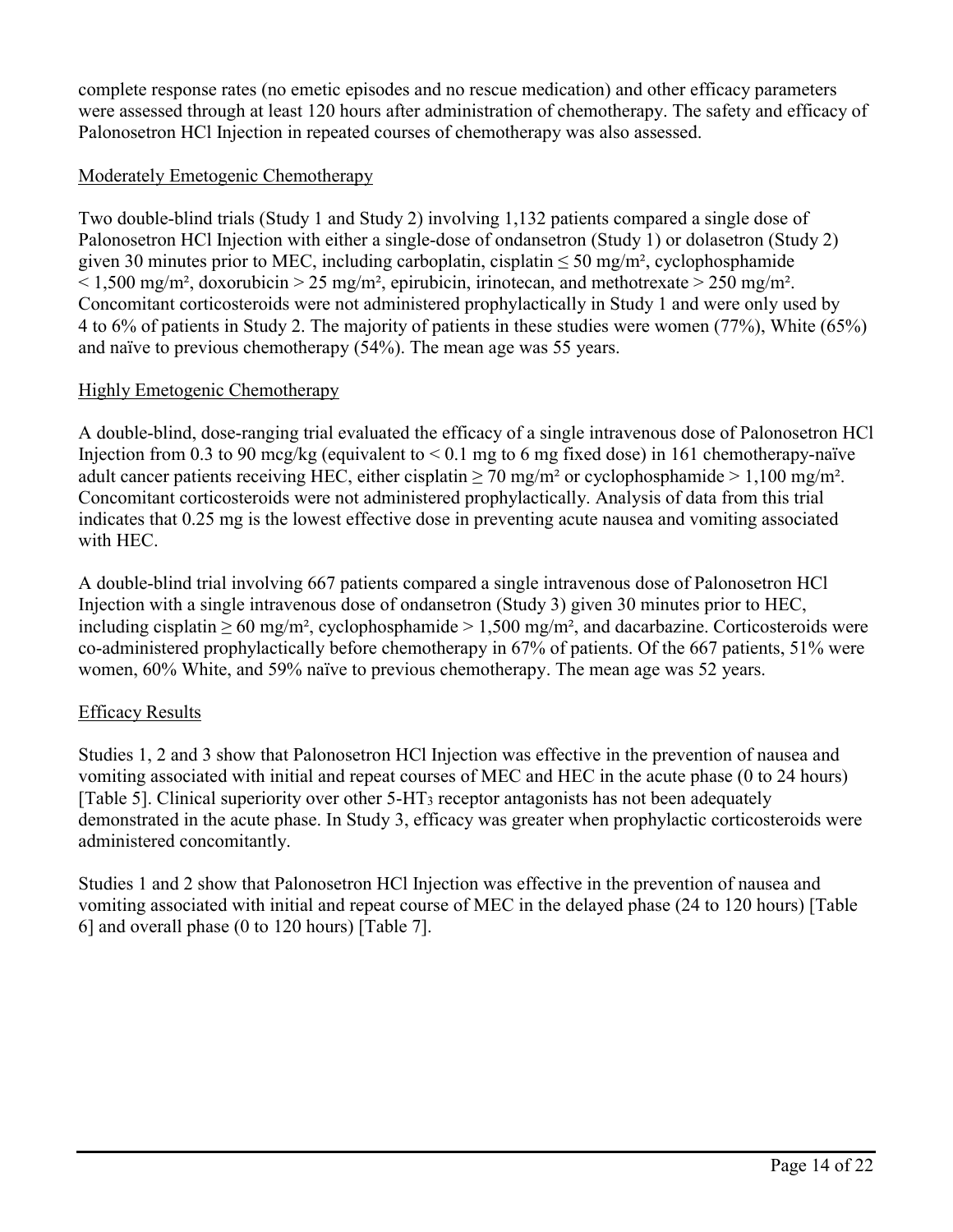complete response rates (no emetic episodes and no rescue medication) and other efficacy parameters were assessed through at least 120 hours after administration of chemotherapy. The safety and efficacy of Palonosetron HCl Injection in repeated courses of chemotherapy was also assessed.

# Moderately Emetogenic Chemotherapy

Two double-blind trials (Study 1 and Study 2) involving 1,132 patients compared a single dose of Palonosetron HCl Injection with either a single-dose of ondansetron (Study 1) or dolasetron (Study 2) given 30 minutes prior to MEC, including carboplatin, cisplatin  $\leq 50$  mg/m<sup>2</sup>, cyclophosphamide  $\leq 1,500$  mg/m<sup>2</sup>, doxorubicin  $> 25$  mg/m<sup>2</sup>, epirubicin, irinotecan, and methotrexate  $> 250$  mg/m<sup>2</sup>. Concomitant corticosteroids were not administered prophylactically in Study 1 and were only used by 4 to 6% of patients in Study 2. The majority of patients in these studies were women (77%), White (65%) and naïve to previous chemotherapy (54%). The mean age was 55 years.

# Highly Emetogenic Chemotherapy

A double-blind, dose-ranging trial evaluated the efficacy of a single intravenous dose of Palonosetron HCl Injection from 0.3 to 90 mcg/kg (equivalent to  $\leq$  0.1 mg to 6 mg fixed dose) in 161 chemotherapy-naïve adult cancer patients receiving HEC, either cisplatin  $\geq$  70 mg/m<sup>2</sup> or cyclophosphamide  $> 1,100$  mg/m<sup>2</sup>. Concomitant corticosteroids were not administered prophylactically. Analysis of data from this trial indicates that 0.25 mg is the lowest effective dose in preventing acute nausea and vomiting associated with HEC.

A double-blind trial involving 667 patients compared a single intravenous dose of Palonosetron HCl Injection with a single intravenous dose of ondansetron (Study 3) given 30 minutes prior to HEC, including cisplatin  $\geq 60$  mg/m<sup>2</sup>, cyclophosphamide  $> 1,500$  mg/m<sup>2</sup>, and dacarbazine. Corticosteroids were co-administered prophylactically before chemotherapy in 67% of patients. Of the 667 patients, 51% were women, 60% White, and 59% naïve to previous chemotherapy. The mean age was 52 years.

# Efficacy Results

Studies 1, 2 and 3 show that Palonosetron HCl Injection was effective in the prevention of nausea and vomiting associated with initial and repeat courses of MEC and HEC in the acute phase (0 to 24 hours) [Table 5]. Clinical superiority over other  $5-\text{HT}_3$  receptor antagonists has not been adequately demonstrated in the acute phase. In Study 3, efficacy was greater when prophylactic corticosteroids were administered concomitantly.

Studies 1 and 2 show that Palonosetron HCl Injection was effective in the prevention of nausea and vomiting associated with initial and repeat course of MEC in the delayed phase (24 to 120 hours) [Table 6] and overall phase (0 to 120 hours) [Table 7].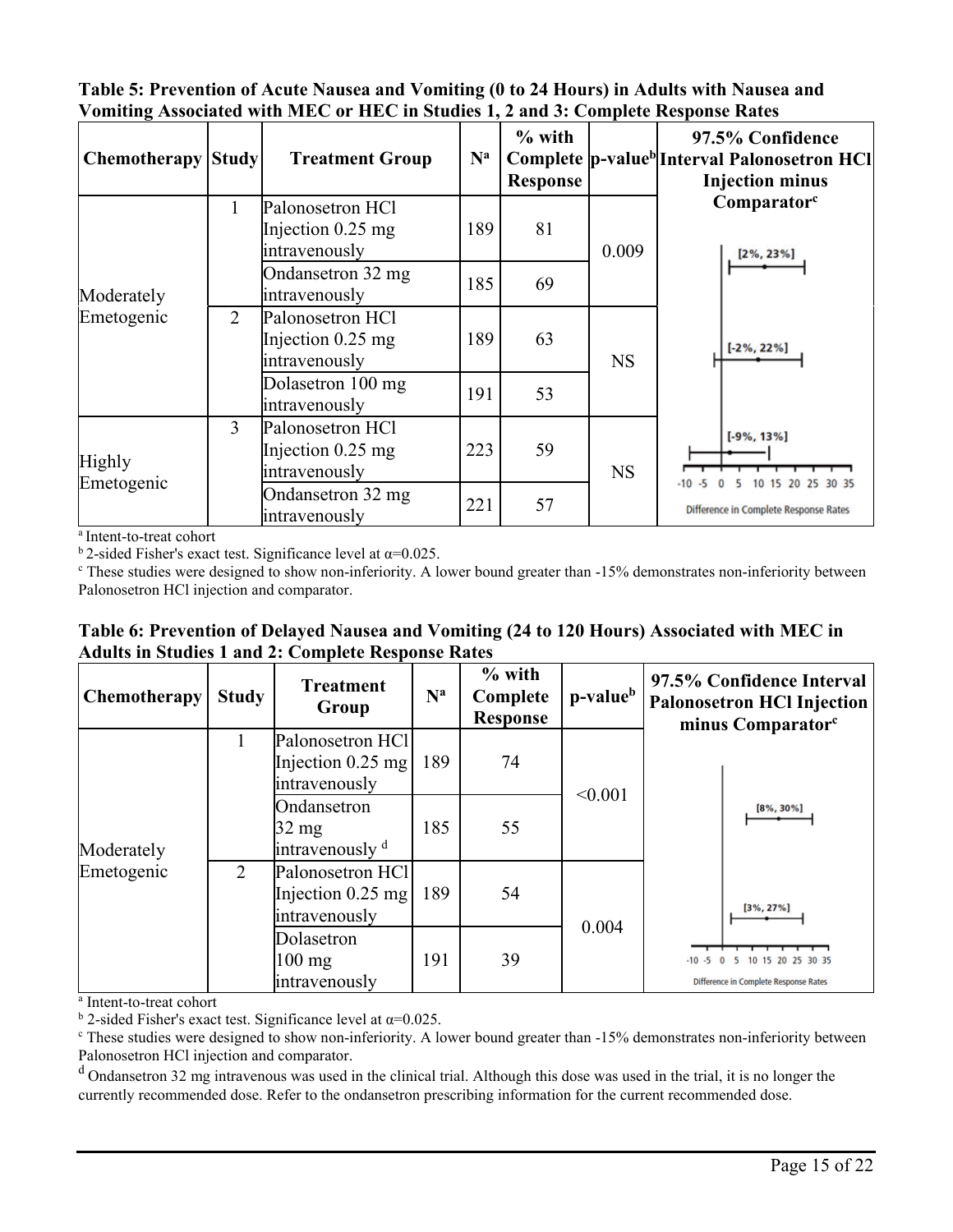| Table 5: Prevention of Acute Nausea and Vomiting (0 to 24 Hours) in Adults with Nausea and |
|--------------------------------------------------------------------------------------------|
| Vomiting Associated with MEC or HEC in Studies 1, 2 and 3: Complete Response Rates         |

| <b>Chemotherapy</b> | <b>Study</b>   | <b>Treatment Group</b>                                   | $N^a$ | $%$ with<br><b>Response</b> |           | 97.5% Confidence<br>Complete p-value <sup>b</sup> Interval Palonosetron HCl<br><b>Injection minus</b> |
|---------------------|----------------|----------------------------------------------------------|-------|-----------------------------|-----------|-------------------------------------------------------------------------------------------------------|
|                     | L              | Palonosetron HCl<br>Injection $0.25$ mg<br>intravenously | 189   | 81                          | 0.009     | Comparator <sup>c</sup><br>$[2\%, 23\%]$                                                              |
| Moderately          |                | Ondansetron 32 mg<br>intravenously                       | 185   | 69                          |           |                                                                                                       |
| Emetogenic          | $\overline{2}$ | Palonosetron HCl<br>Injection $0.25$ mg<br>intravenously | 189   | 63                          | <b>NS</b> | $[-2\%, 22\%]$                                                                                        |
|                     |                | Dolasetron 100 mg<br>intravenously                       | 191   | 53                          |           |                                                                                                       |
| <b>Highly</b>       | $\overline{3}$ | Palonosetron HCl<br>Injection $0.25$ mg<br>intravenously | 223   | 59                          | <b>NS</b> | $[-9\%, 13\%]$<br>10 15 20 25 30 35                                                                   |
| Emetogenic          |                | Ondansetron 32 mg<br>intravenously                       | 221   | 57                          |           | Difference in Complete Response Rates                                                                 |

a Intent-to-treat cohort

<sup>b</sup> 2-sided Fisher's exact test. Significance level at  $\alpha$ =0.025.

<sup>c</sup> These studies were designed to show non-inferiority. A lower bound greater than -15% demonstrates non-inferiority between Palonosetron HCl injection and comparator.

| Table 6: Prevention of Delayed Nausea and Vomiting (24 to 120 Hours) Associated with MEC in |
|---------------------------------------------------------------------------------------------|
| <b>Adults in Studies 1 and 2: Complete Response Rates</b>                                   |

| Chemotherapy             | <b>Study</b> | <b>Treatment</b><br>Group                                       | $N^a$ | $%$ with<br>Complete<br><b>Response</b> | p-value <sup>b</sup> | 97.5% Confidence Interval<br><b>Palonosetron HCl Injection</b><br>minus Comparator <sup>c</sup> |  |
|--------------------------|--------------|-----------------------------------------------------------------|-------|-----------------------------------------|----------------------|-------------------------------------------------------------------------------------------------|--|
| Moderately<br>Emetogenic |              | Palonosetron HCl<br>189<br>Injection $0.25$ mg<br>intravenously |       | 74                                      | < 0.001              |                                                                                                 |  |
|                          |              | Ondansetron<br>$32 \text{ mg}$<br>intravenously d               | 185   | 55                                      |                      | $[8\%, 30\%]$                                                                                   |  |
|                          | 2            | Palonosetron HCl<br>Injection $0.25$ mg<br>intravenously        | 189   | 54                                      | 0.004                | $[3\%, 27\%]$                                                                                   |  |
|                          |              | Dolasetron<br>$100 \text{ mg}$<br>intravenously                 | 191   | 39                                      |                      | 10 15 20 25 30 35<br>$\Omega$<br><b>Difference in Complete Response Rates</b>                   |  |

a Intent-to-treat cohort

<sup>b</sup> 2-sided Fisher's exact test. Significance level at  $\alpha$ =0.025.

 $\epsilon$  These studies were designed to show non-inferiority. A lower bound greater than  $-15\%$  demonstrates non-inferiority between Palonosetron HCl injection and comparator.

<sup>d</sup> Ondansetron 32 mg intravenous was used in the clinical trial. Although this dose was used in the trial, it is no longer the currently recommended dose. Refer to the ondansetron prescribing information for the current recommended dose.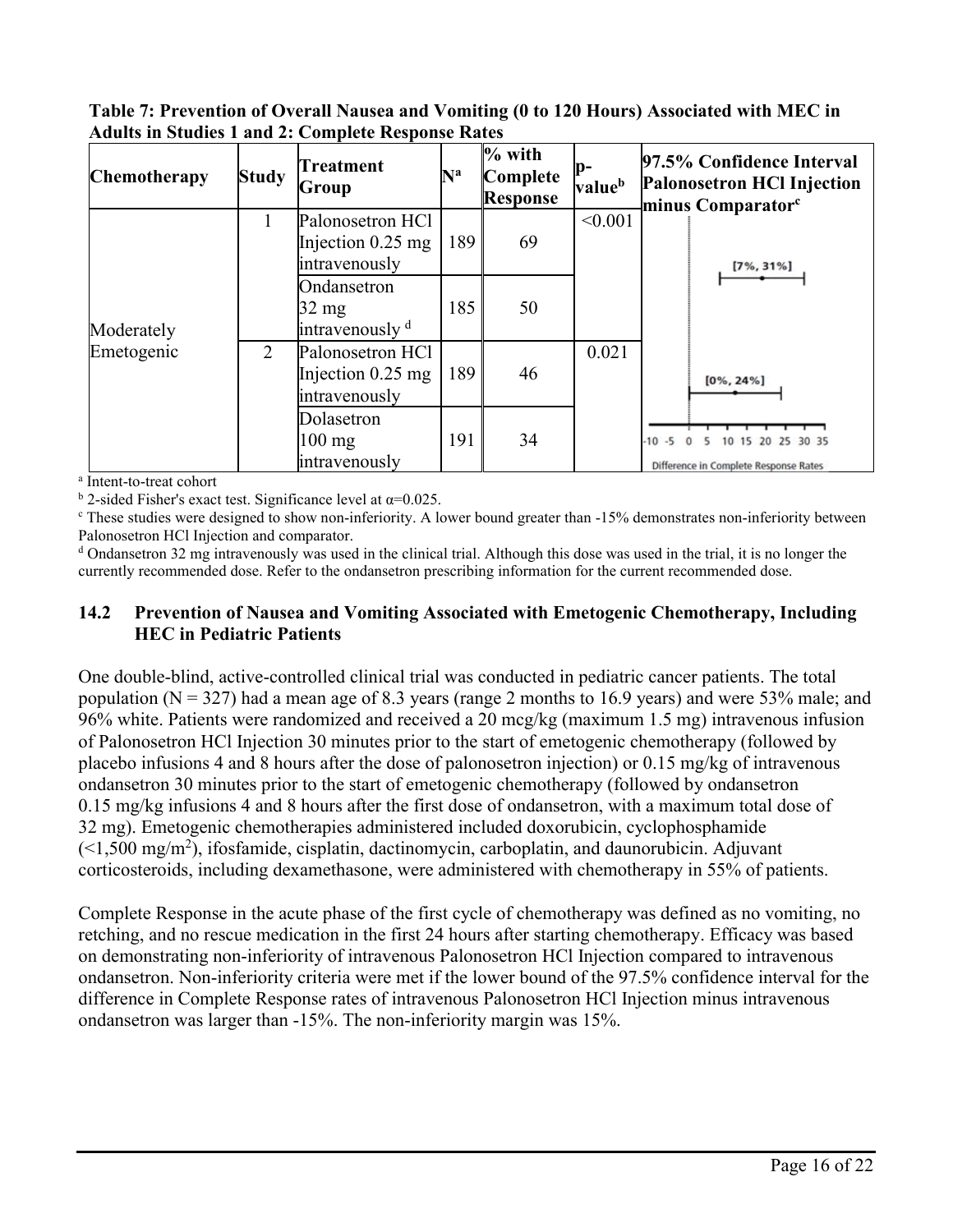**Table 7: Prevention of Overall Nausea and Vomiting (0 to 120 Hours) Associated with MEC in Adults in Studies 1 and 2: Complete Response Rates**

| <b>Chemotherapy</b> | <b>Study</b>   | Treatment<br>Group                                           | $\mathbf{N}^{\mathbf{a}}$ | $%$ with<br>Complete<br><b>Response</b> | p-<br>valueb | 97.5% Confidence Interval<br><b>Palonosetron HCl Injection</b><br>minus Comparator <sup>c</sup> |
|---------------------|----------------|--------------------------------------------------------------|---------------------------|-----------------------------------------|--------------|-------------------------------------------------------------------------------------------------|
|                     |                | Palonosetron HCl<br>Injection $0.25$ mg<br>intravenously     | 189                       | 69                                      | < 0.001      | $[7\%, 31\%]$                                                                                   |
| Moderately          |                | Ondansetron<br>$32 \text{ mg}$<br>intravenously <sup>d</sup> | 185                       | 50                                      |              |                                                                                                 |
| Emetogenic          | $\overline{2}$ | Palonosetron HCl<br>Injection $0.25$ mg<br>intravenously     | 189                       | 46                                      | 0.021        | $[0\%, 24\%]$                                                                                   |
|                     |                | Dolasetron<br>$100 \text{ mg}$<br>intravenously              | 191                       | 34                                      |              | $-10 - 5$<br>30 35<br>Difference in Complete Response Rates                                     |

a Intent-to-treat cohort

<sup>b</sup> 2-sided Fisher's exact test. Significance level at  $\alpha$ =0.025.

<sup>c</sup> These studies were designed to show non-inferiority. A lower bound greater than -15% demonstrates non-inferiority between Palonosetron HCl Injection and comparator.

<sup>d</sup> Ondansetron 32 mg intravenously was used in the clinical trial. Although this dose was used in the trial, it is no longer the currently recommended dose. Refer to the ondansetron prescribing information for the current recommended dose.

# **14.2 Prevention of Nausea and Vomiting Associated with Emetogenic Chemotherapy, Including HEC in Pediatric Patients**

One double-blind, active-controlled clinical trial was conducted in pediatric cancer patients. The total population ( $N = 327$ ) had a mean age of 8.3 years (range 2 months to 16.9 years) and were 53% male; and 96% white. Patients were randomized and received a 20 mcg/kg (maximum 1.5 mg) intravenous infusion of Palonosetron HCl Injection 30 minutes prior to the start of emetogenic chemotherapy (followed by placebo infusions 4 and 8 hours after the dose of palonosetron injection) or 0.15 mg/kg of intravenous ondansetron 30 minutes prior to the start of emetogenic chemotherapy (followed by ondansetron 0.15 mg/kg infusions 4 and 8 hours after the first dose of ondansetron, with a maximum total dose of 32 mg). Emetogenic chemotherapies administered included doxorubicin, cyclophosphamide  $(\leq 1,500 \text{ mg/m}^2)$ , ifosfamide, cisplatin, dactinomycin, carboplatin, and daunorubicin. Adjuvant corticosteroids, including dexamethasone, were administered with chemotherapy in 55% of patients.

Complete Response in the acute phase of the first cycle of chemotherapy was defined as no vomiting, no retching, and no rescue medication in the first 24 hours after starting chemotherapy. Efficacy was based on demonstrating non-inferiority of intravenous Palonosetron HCl Injection compared to intravenous ondansetron. Non-inferiority criteria were met if the lower bound of the 97.5% confidence interval for the difference in Complete Response rates of intravenous Palonosetron HCl Injection minus intravenous ondansetron was larger than -15%. The non-inferiority margin was 15%.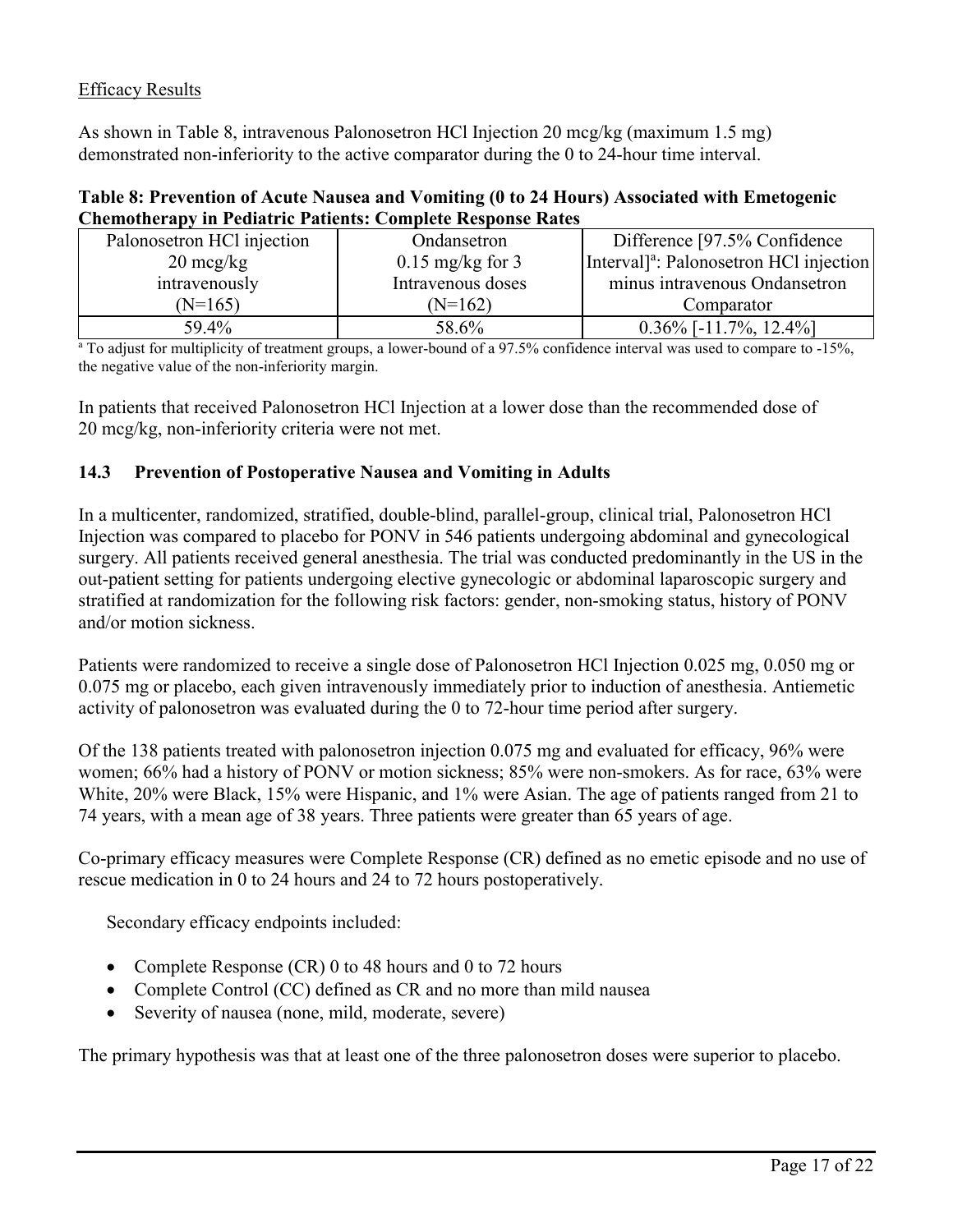# Efficacy Results

As shown in Table 8, intravenous Palonosetron HCl Injection 20 mcg/kg (maximum 1.5 mg) demonstrated non-inferiority to the active comparator during the 0 to 24-hour time interval.

### **Table 8: Prevention of Acute Nausea and Vomiting (0 to 24 Hours) Associated with Emetogenic Chemotherapy in Pediatric Patients: Complete Response Rates**

| Palonosetron HCl injection | Ondansetron                | Difference [97.5% Confidence]                      |
|----------------------------|----------------------------|----------------------------------------------------|
| $20 \text{~mg/kg}$         | $0.15 \text{ mg/kg}$ for 3 | Interval <sup>a</sup> : Palonosetron HCl injection |
| intravenously              | Intravenous doses          | minus intravenous Ondansetron                      |
| $(N=165)$                  | $(N=162)$                  | Comparator                                         |
| 59.4%                      | 58.6%                      | $0.36\%$ [-11.7%, 12.4%]                           |

<sup>a</sup> To adjust for multiplicity of treatment groups, a lower-bound of a 97.5% confidence interval was used to compare to -15%, the negative value of the non-inferiority margin.

In patients that received Palonosetron HCl Injection at a lower dose than the recommended dose of 20 mcg/kg, non-inferiority criteria were not met.

### **14.3 Prevention of Postoperative Nausea and Vomiting in Adults**

In a multicenter, randomized, stratified, double-blind, parallel-group, clinical trial, Palonosetron HCl Injection was compared to placebo for PONV in 546 patients undergoing abdominal and gynecological surgery. All patients received general anesthesia. The trial was conducted predominantly in the US in the out-patient setting for patients undergoing elective gynecologic or abdominal laparoscopic surgery and stratified at randomization for the following risk factors: gender, non-smoking status, history of PONV and/or motion sickness.

Patients were randomized to receive a single dose of Palonosetron HCl Injection 0.025 mg, 0.050 mg or 0.075 mg or placebo, each given intravenously immediately prior to induction of anesthesia. Antiemetic activity of palonosetron was evaluated during the 0 to 72-hour time period after surgery.

Of the 138 patients treated with palonosetron injection 0.075 mg and evaluated for efficacy, 96% were women; 66% had a history of PONV or motion sickness; 85% were non-smokers. As for race, 63% were White, 20% were Black, 15% were Hispanic, and 1% were Asian. The age of patients ranged from 21 to 74 years, with a mean age of 38 years. Three patients were greater than 65 years of age.

Co-primary efficacy measures were Complete Response (CR) defined as no emetic episode and no use of rescue medication in 0 to 24 hours and 24 to 72 hours postoperatively.

Secondary efficacy endpoints included:

- Complete Response (CR) 0 to 48 hours and 0 to 72 hours
- Complete Control (CC) defined as CR and no more than mild nausea
- Severity of nausea (none, mild, moderate, severe)

The primary hypothesis was that at least one of the three palonosetron doses were superior to placebo.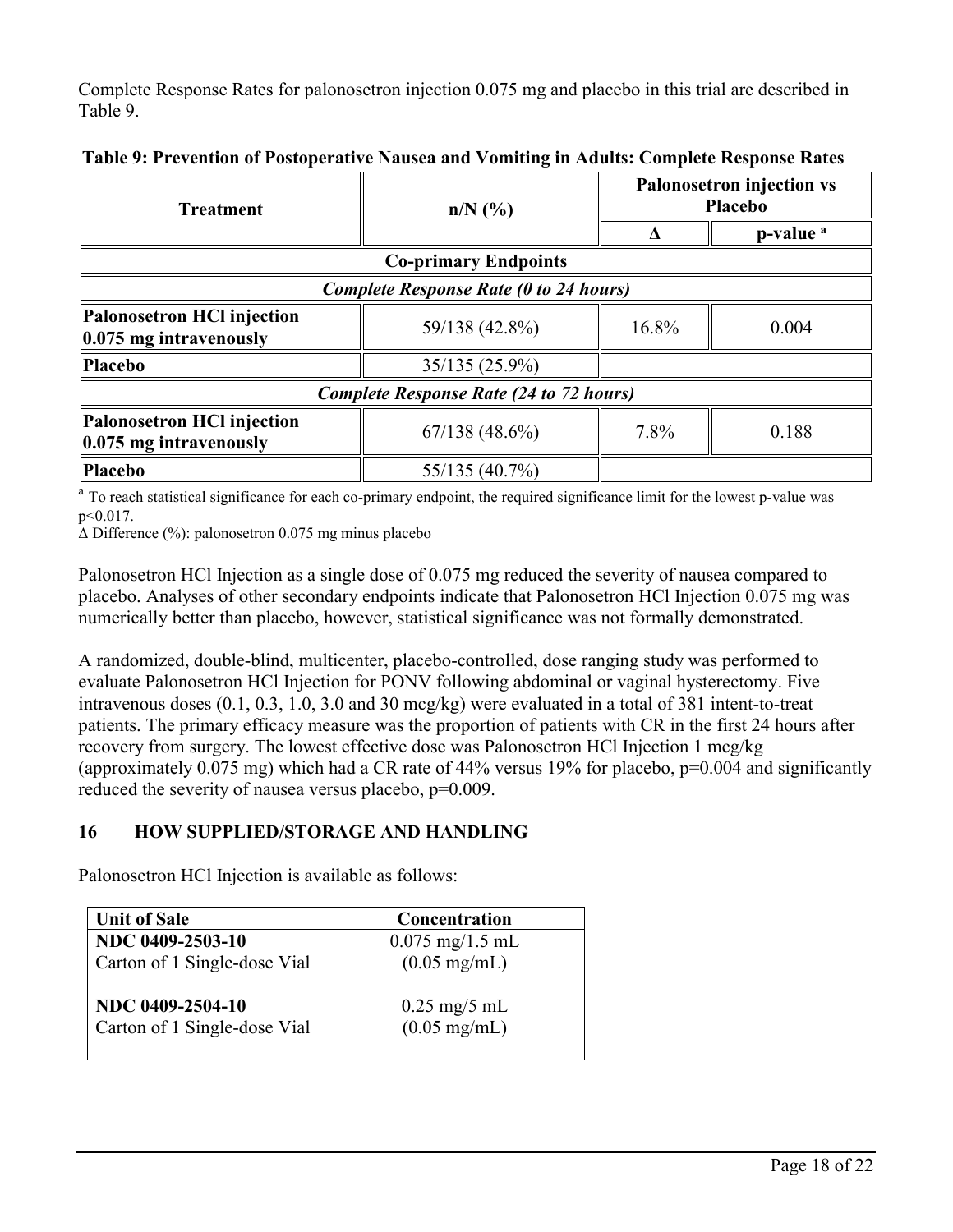Complete Response Rates for palonosetron injection 0.075 mg and placebo in this trial are described in Table 9.

| <b>Treatment</b>                                                | $n/N$ (%)                                      | <b>Palonosetron injection vs</b><br><b>Placebo</b> |                      |  |
|-----------------------------------------------------------------|------------------------------------------------|----------------------------------------------------|----------------------|--|
|                                                                 |                                                |                                                    | p-value <sup>a</sup> |  |
|                                                                 | <b>Co-primary Endpoints</b>                    |                                                    |                      |  |
|                                                                 | <b>Complete Response Rate (0 to 24 hours)</b>  |                                                    |                      |  |
| Palonosetron HCl injection<br>$ 0.075 \text{ mg}$ intravenously | 59/138 (42.8%)                                 | 16.8%                                              |                      |  |
| <b>Placebo</b>                                                  | 35/135 (25.9%)                                 |                                                    |                      |  |
|                                                                 | <b>Complete Response Rate (24 to 72 hours)</b> |                                                    |                      |  |
| Palonosetron HCl injection<br>$ 0.075 \text{ mg}$ intravenously | 67/138(48.6%)                                  | 7.8%                                               | 0.188                |  |
| <b>Placebo</b>                                                  | 55/135 (40.7%)                                 |                                                    |                      |  |

**Table 9: Prevention of Postoperative Nausea and Vomiting in Adults: Complete Response Rates**

<sup>a</sup> To reach statistical significance for each co-primary endpoint, the required significance limit for the lowest p-value was p<0.017.

Δ Difference (%): palonosetron 0.075 mg minus placebo

Palonosetron HCl Injection as a single dose of 0.075 mg reduced the severity of nausea compared to placebo. Analyses of other secondary endpoints indicate that Palonosetron HCl Injection 0.075 mg was numerically better than placebo, however, statistical significance was not formally demonstrated.

A randomized, double-blind, multicenter, placebo-controlled, dose ranging study was performed to evaluate Palonosetron HCl Injection for PONV following abdominal or vaginal hysterectomy. Five intravenous doses (0.1, 0.3, 1.0, 3.0 and 30 mcg/kg) were evaluated in a total of 381 intent-to-treat patients. The primary efficacy measure was the proportion of patients with CR in the first 24 hours after recovery from surgery. The lowest effective dose was Palonosetron HCl Injection 1 mcg/kg (approximately  $0.075$  mg) which had a CR rate of 44% versus 19% for placebo,  $p=0.004$  and significantly reduced the severity of nausea versus placebo,  $p=0.009$ .

# **16 HOW SUPPLIED/STORAGE AND HANDLING**

Palonosetron HCl Injection is available as follows:

| <b>Unit of Sale</b>          | Concentration                     |
|------------------------------|-----------------------------------|
| NDC 0409-2503-10             | $0.075 \text{ mg}/1.5 \text{ mL}$ |
| Carton of 1 Single-dose Vial | $(0.05 \text{ mg/mL})$            |
| NDC 0409-2504-10             | $0.25 \text{ mg}/5 \text{ mL}$    |
| Carton of 1 Single-dose Vial | $(0.05 \text{ mg/mL})$            |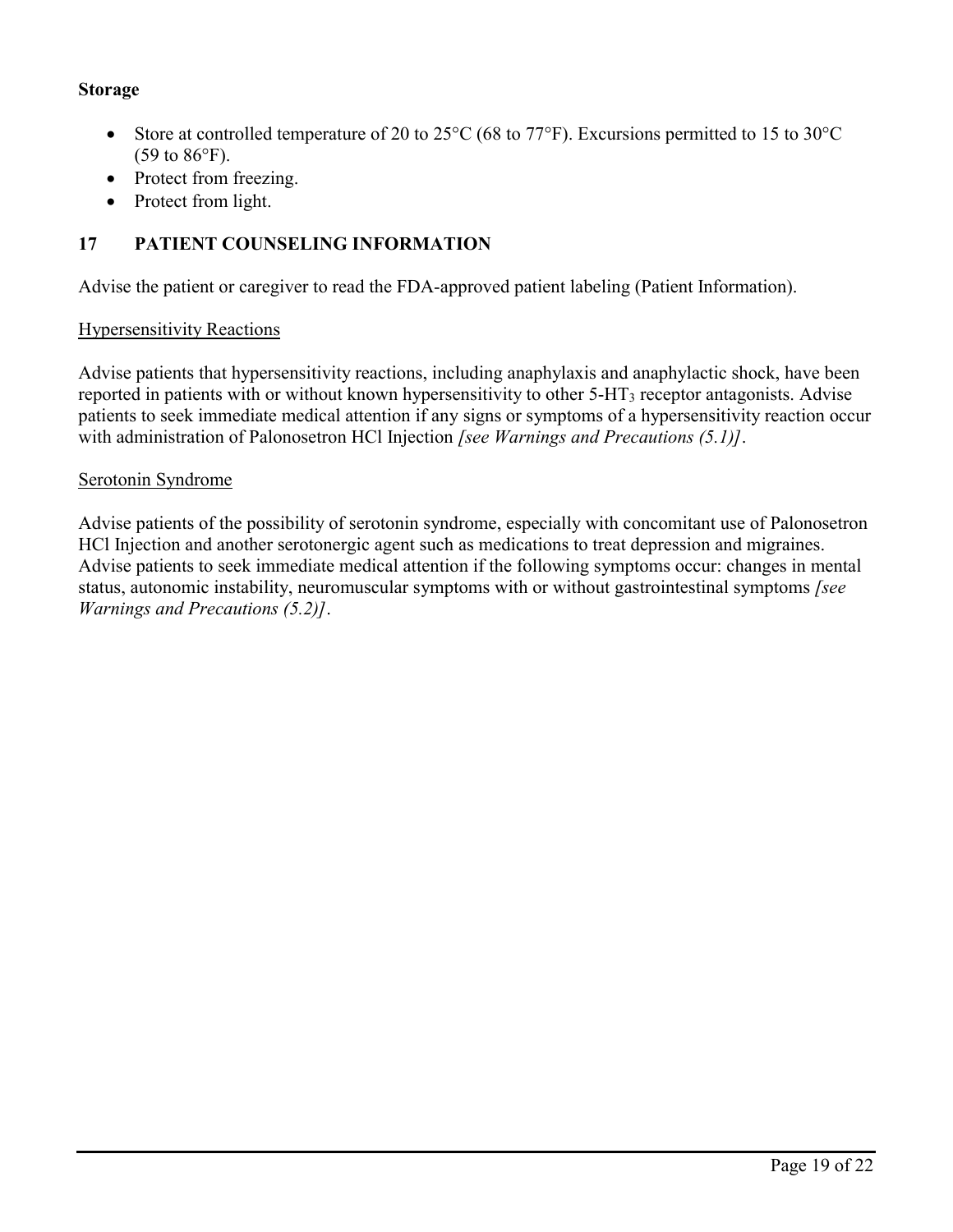# **Storage**

- Store at controlled temperature of 20 to 25 $\rm{^{\circ}C}$  (68 to 77 $\rm{^{\circ}F}$ ). Excursions permitted to 15 to 30 $\rm{^{\circ}C}$ (59 to 86°F).
- Protect from freezing.
- Protect from light.

# **17 PATIENT COUNSELING INFORMATION**

Advise the patient or caregiver to read the FDA-approved patient labeling (Patient Information).

# Hypersensitivity Reactions

Advise patients that hypersensitivity reactions, including anaphylaxis and anaphylactic shock, have been reported in patients with or without known hypersensitivity to other 5-HT<sub>3</sub> receptor antagonists. Advise patients to seek immediate medical attention if any signs or symptoms of a hypersensitivity reaction occur with administration of Palonosetron HCl Injection *[see Warnings and Precautions (5.1)]*.

### Serotonin Syndrome

Advise patients of the possibility of serotonin syndrome, especially with concomitant use of Palonosetron HCl Injection and another serotonergic agent such as medications to treat depression and migraines. Advise patients to seek immediate medical attention if the following symptoms occur: changes in mental status, autonomic instability, neuromuscular symptoms with or without gastrointestinal symptoms *[see Warnings and Precautions (5.2)]*.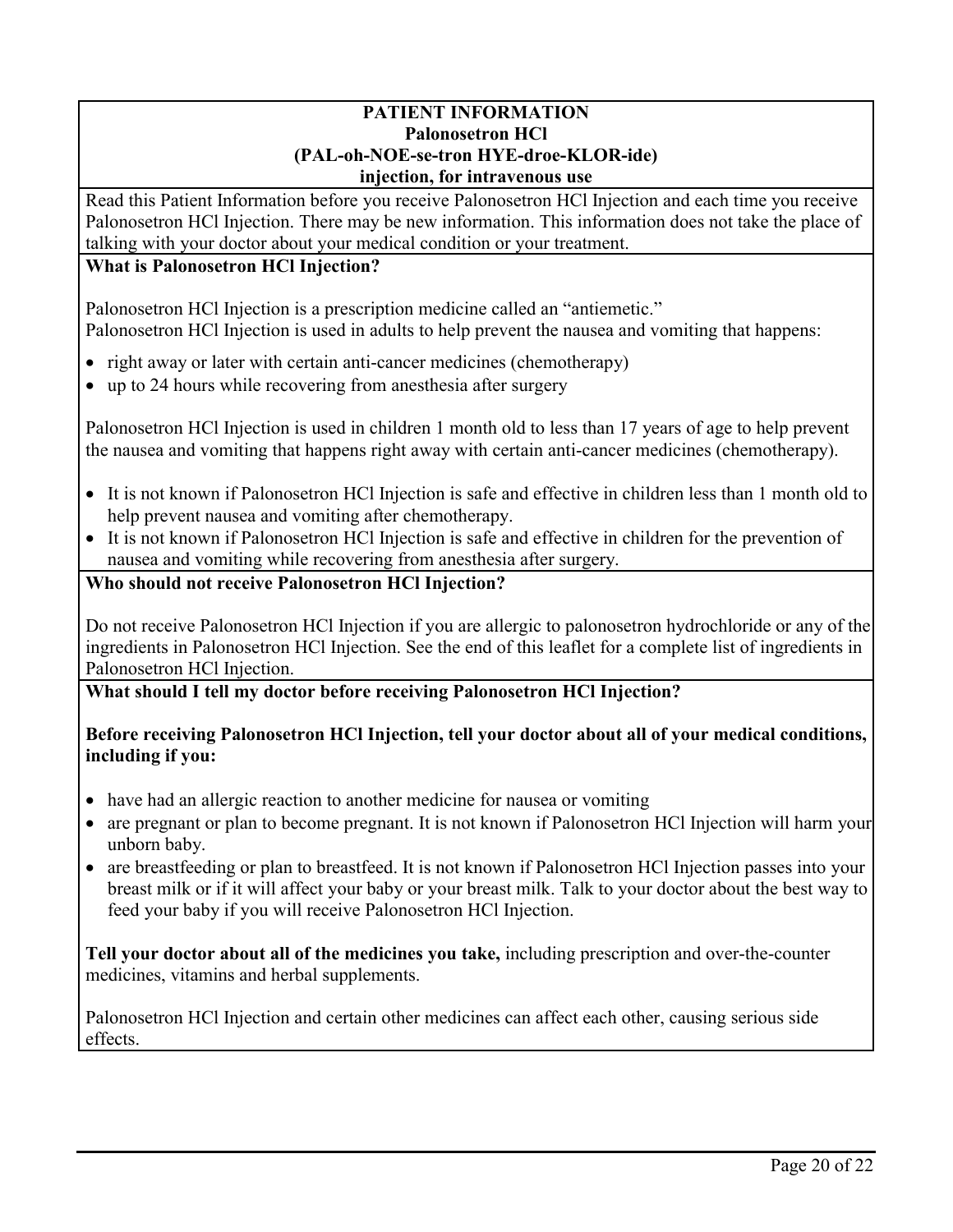### **PATIENT INFORMATION Palonosetron HCl (PAL-oh-NOE-se-tron HYE-droe-KLOR-ide) injection, for intravenous use**

Read this Patient Information before you receive Palonosetron HCl Injection and each time you receive Palonosetron HCl Injection. There may be new information. This information does not take the place of talking with your doctor about your medical condition or your treatment.

# **What is Palonosetron HCl Injection?**

Palonosetron HCl Injection is a prescription medicine called an "antiemetic." Palonosetron HCl Injection is used in adults to help prevent the nausea and vomiting that happens:

- right away or later with certain anti-cancer medicines (chemotherapy)
- up to 24 hours while recovering from anesthesia after surgery

Palonosetron HCl Injection is used in children 1 month old to less than 17 years of age to help prevent the nausea and vomiting that happens right away with certain anti-cancer medicines (chemotherapy).

- It is not known if Palonosetron HCl Injection is safe and effective in children less than 1 month old to help prevent nausea and vomiting after chemotherapy.
- It is not known if Palonosetron HCl Injection is safe and effective in children for the prevention of nausea and vomiting while recovering from anesthesia after surgery.

# **Who should not receive Palonosetron HCl Injection?**

Do not receive Palonosetron HCl Injection if you are allergic to palonosetron hydrochloride or any of the ingredients in Palonosetron HCl Injection. See the end of this leaflet for a complete list of ingredients in Palonosetron HCl Injection.

# **What should I tell my doctor before receiving Palonosetron HCl Injection?**

# **Before receiving Palonosetron HCl Injection, tell your doctor about all of your medical conditions, including if you:**

- have had an allergic reaction to another medicine for nausea or vomiting
- are pregnant or plan to become pregnant. It is not known if Palonosetron HCl Injection will harm your unborn baby.
- are breastfeeding or plan to breastfeed. It is not known if Palonosetron HCl Injection passes into your breast milk or if it will affect your baby or your breast milk. Talk to your doctor about the best way to feed your baby if you will receive Palonosetron HCl Injection.

**Tell your doctor about all of the medicines you take,** including prescription and over-the-counter medicines, vitamins and herbal supplements.

Palonosetron HCl Injection and certain other medicines can affect each other, causing serious side effects.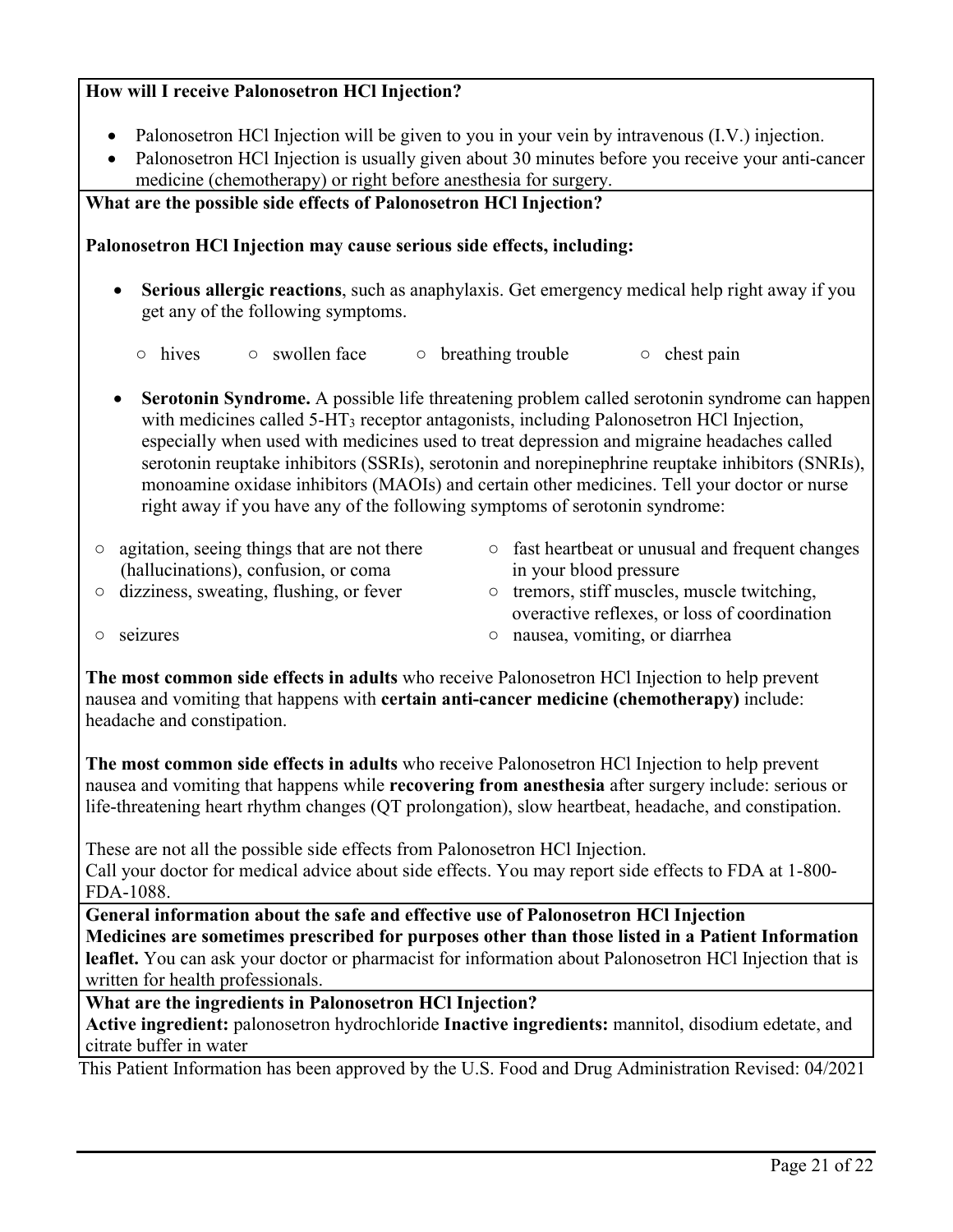# **How will I receive Palonosetron HCl Injection?**

- Palonosetron HCl Injection will be given to you in your vein by intravenous (I.V.) injection.
- Palonosetron HCl Injection is usually given about 30 minutes before you receive your anti-cancer medicine (chemotherapy) or right before anesthesia for surgery.

**What are the possible side effects of Palonosetron HCl Injection?** 

### **Palonosetron HCl Injection may cause serious side effects, including:**

- **Serious allergic reactions**, such as anaphylaxis. Get emergency medical help right away if you get any of the following symptoms.
	- hives swollen face breathing trouble chest pain
- **Serotonin Syndrome.** A possible life threatening problem called serotonin syndrome can happen with medicines called 5-HT<sub>3</sub> receptor antagonists, including Palonosetron HCl Injection, especially when used with medicines used to treat depression and migraine headaches called serotonin reuptake inhibitors (SSRIs), serotonin and norepinephrine reuptake inhibitors (SNRIs), monoamine oxidase inhibitors (MAOIs) and certain other medicines. Tell your doctor or nurse right away if you have any of the following symptoms of serotonin syndrome:
- agitation, seeing things that are not there (hallucinations), confusion, or coma ○ dizziness, sweating, flushing, or fever
- fast heartbeat or unusual and frequent changes in your blood pressure
- tremors, stiff muscles, muscle twitching, overactive reflexes, or loss of coordination ○ nausea, vomiting, or diarrhea

○ seizures

**The most common side effects in adults** who receive Palonosetron HCl Injection to help prevent nausea and vomiting that happens with **certain anti-cancer medicine (chemotherapy)** include: headache and constipation.

**The most common side effects in adults** who receive Palonosetron HCl Injection to help prevent nausea and vomiting that happens while **recovering from anesthesia** after surgery include: serious or life-threatening heart rhythm changes (QT prolongation), slow heartbeat, headache, and constipation.

These are not all the possible side effects from Palonosetron HCl Injection.

Call your doctor for medical advice about side effects. You may report side effects to FDA at 1-800- FDA-1088.

**General information about the safe and effective use of Palonosetron HCl Injection Medicines are sometimes prescribed for purposes other than those listed in a Patient Information leaflet.** You can ask your doctor or pharmacist for information about Palonosetron HCl Injection that is written for health professionals.

**What are the ingredients in Palonosetron HCl Injection?**

**Active ingredient:** palonosetron hydrochloride **Inactive ingredients:** mannitol, disodium edetate, and citrate buffer in water

This Patient Information has been approved by the U.S. Food and Drug Administration Revised: 04/2021